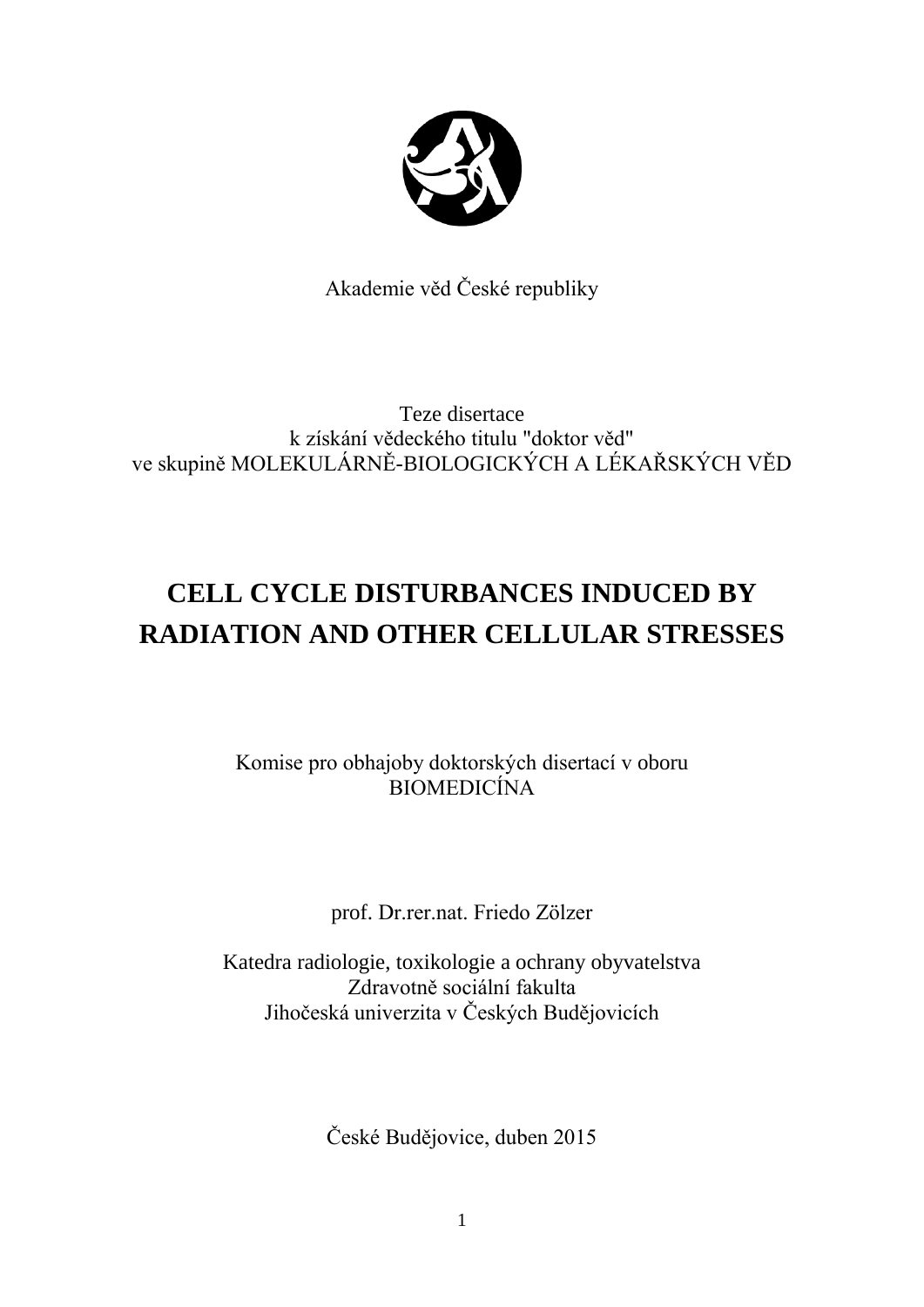

Akademie věd České republiky

Teze disertace k získání vědeckého titulu "doktor věd" ve skupině MOLEKULÁRNĚ-BIOLOGICKÝCH A LÉKAŘSKÝCH VĚD

# **CELL CYCLE DISTURBANCES INDUCED BY RADIATION AND OTHER CELLULAR STRESSES**

Komise pro obhajoby doktorských disertací v oboru BIOMEDICÍNA

prof. Dr.rer.nat. Friedo Zölzer

Katedra radiologie, toxikologie a ochrany obyvatelstva Zdravotně sociální fakulta Jihočeská univerzita v Českých Budějovicích

České Budějovice, duben 2015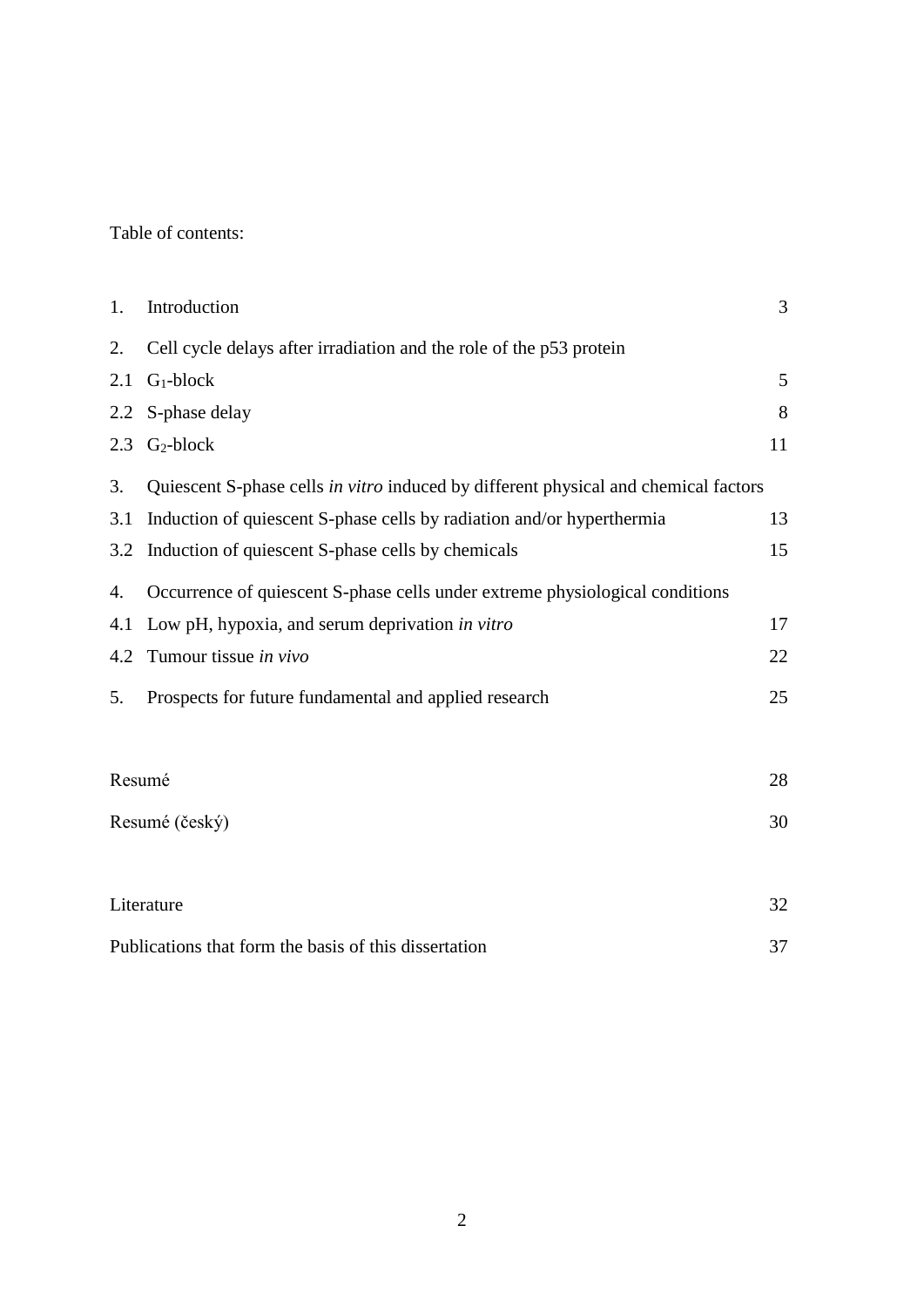Table of contents:

| 1.  | Introduction                                                                        | 3  |
|-----|-------------------------------------------------------------------------------------|----|
| 2.  | Cell cycle delays after irradiation and the role of the p53 protein                 |    |
| 2.1 | $G_1$ -block                                                                        | 5  |
| 2.2 | S-phase delay                                                                       | 8  |
| 2.3 | $G_2$ -block                                                                        | 11 |
| 3.  | Quiescent S-phase cells in vitro induced by different physical and chemical factors |    |
| 3.1 | Induction of quiescent S-phase cells by radiation and/or hyperthermia               | 13 |
| 3.2 | Induction of quiescent S-phase cells by chemicals                                   | 15 |
| 4.  | Occurrence of quiescent S-phase cells under extreme physiological conditions        |    |
| 4.1 | Low pH, hypoxia, and serum deprivation in vitro                                     | 17 |
| 4.2 | Tumour tissue in vivo                                                               | 22 |
| 5.  | Prospects for future fundamental and applied research                               | 25 |
|     |                                                                                     |    |
|     | Resumé                                                                              |    |
|     | Resumé (český)                                                                      |    |
|     |                                                                                     |    |
|     | Literature                                                                          |    |
|     | Publications that form the basis of this dissertation                               |    |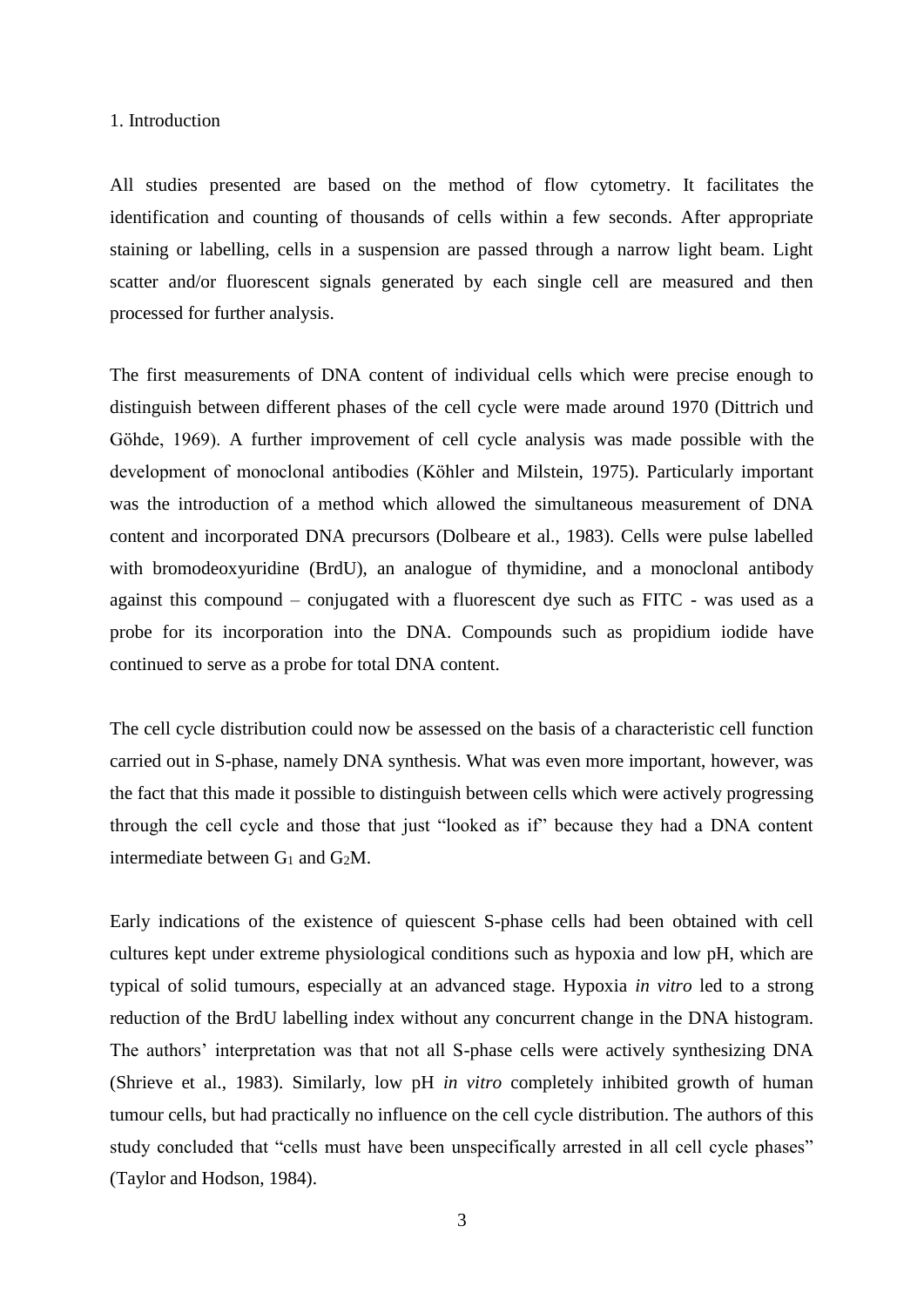### 1. Introduction

All studies presented are based on the method of flow cytometry. It facilitates the identification and counting of thousands of cells within a few seconds. After appropriate staining or labelling, cells in a suspension are passed through a narrow light beam. Light scatter and/or fluorescent signals generated by each single cell are measured and then processed for further analysis.

The first measurements of DNA content of individual cells which were precise enough to distinguish between different phases of the cell cycle were made around 1970 (Dittrich und Göhde, 1969). A further improvement of cell cycle analysis was made possible with the development of monoclonal antibodies (Köhler and Milstein, 1975). Particularly important was the introduction of a method which allowed the simultaneous measurement of DNA content and incorporated DNA precursors (Dolbeare et al., 1983). Cells were pulse labelled with bromodeoxyuridine (BrdU), an analogue of thymidine, and a monoclonal antibody against this compound – conjugated with a fluorescent dye such as FITC - was used as a probe for its incorporation into the DNA. Compounds such as propidium iodide have continued to serve as a probe for total DNA content.

The cell cycle distribution could now be assessed on the basis of a characteristic cell function carried out in S-phase, namely DNA synthesis. What was even more important, however, was the fact that this made it possible to distinguish between cells which were actively progressing through the cell cycle and those that just "looked as if" because they had a DNA content intermediate between  $G_1$  and  $G_2M$ .

Early indications of the existence of quiescent S-phase cells had been obtained with cell cultures kept under extreme physiological conditions such as hypoxia and low pH, which are typical of solid tumours, especially at an advanced stage. Hypoxia *in vitro* led to a strong reduction of the BrdU labelling index without any concurrent change in the DNA histogram. The authors' interpretation was that not all S-phase cells were actively synthesizing DNA (Shrieve et al., 1983). Similarly, low pH *in vitro* completely inhibited growth of human tumour cells, but had practically no influence on the cell cycle distribution. The authors of this study concluded that "cells must have been unspecifically arrested in all cell cycle phases" (Taylor and Hodson, 1984).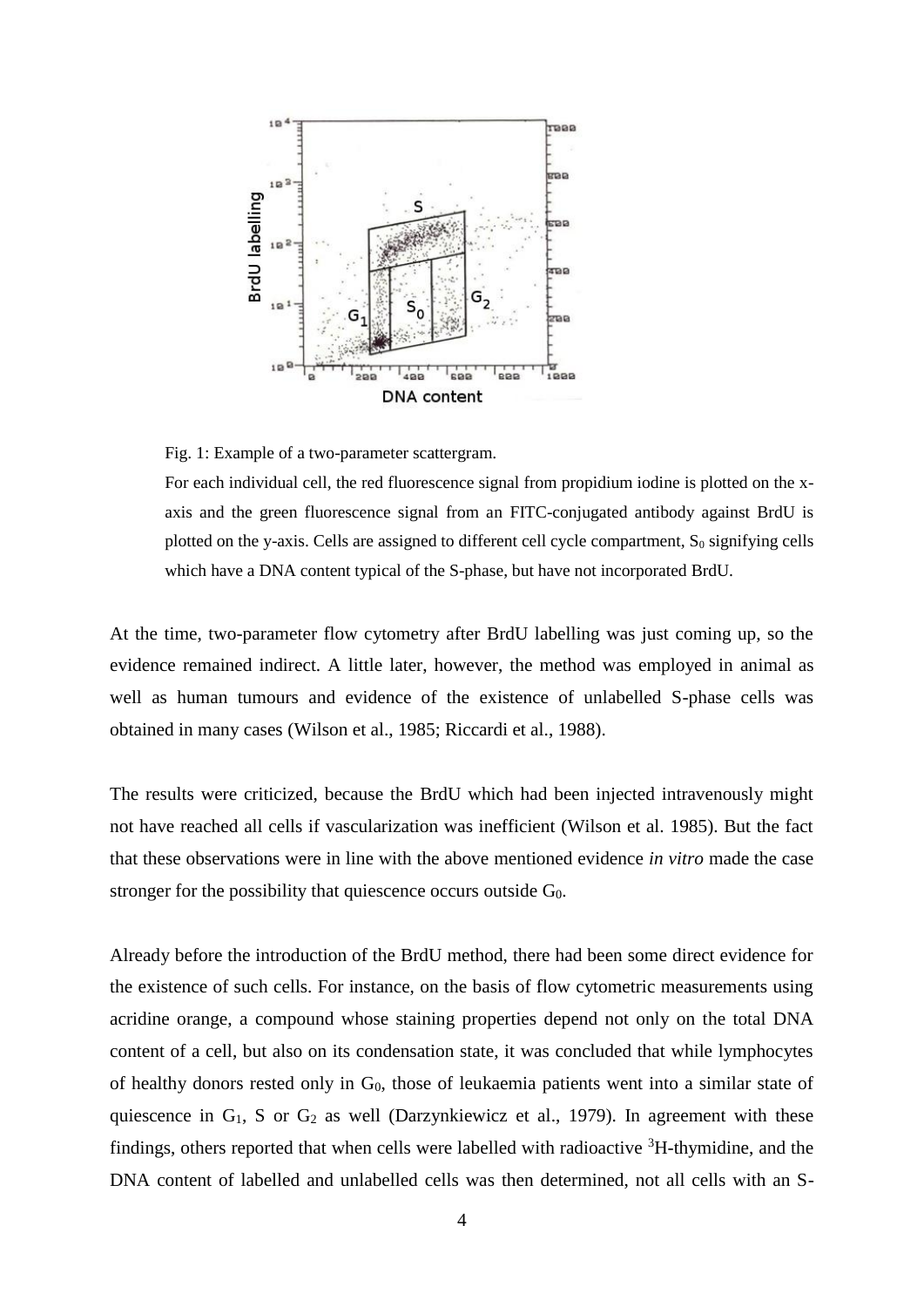

Fig. 1: Example of a two-parameter scattergram.

For each individual cell, the red fluorescence signal from propidium iodine is plotted on the xaxis and the green fluorescence signal from an FITC-conjugated antibody against BrdU is plotted on the y-axis. Cells are assigned to different cell cycle compartment,  $S_0$  signifying cells which have a DNA content typical of the S-phase, but have not incorporated BrdU.

At the time, two-parameter flow cytometry after BrdU labelling was just coming up, so the evidence remained indirect. A little later, however, the method was employed in animal as well as human tumours and evidence of the existence of unlabelled S-phase cells was obtained in many cases (Wilson et al., 1985; Riccardi et al., 1988).

The results were criticized, because the BrdU which had been injected intravenously might not have reached all cells if vascularization was inefficient (Wilson et al. 1985). But the fact that these observations were in line with the above mentioned evidence *in vitro* made the case stronger for the possibility that quiescence occurs outside G<sub>0</sub>.

Already before the introduction of the BrdU method, there had been some direct evidence for the existence of such cells. For instance, on the basis of flow cytometric measurements using acridine orange, a compound whose staining properties depend not only on the total DNA content of a cell, but also on its condensation state, it was concluded that while lymphocytes of healthy donors rested only in  $G_0$ , those of leukaemia patients went into a similar state of quiescence in  $G_1$ , S or  $G_2$  as well (Darzynkiewicz et al., 1979). In agreement with these findings, others reported that when cells were labelled with radioactive  ${}^{3}$ H-thymidine, and the DNA content of labelled and unlabelled cells was then determined, not all cells with an S-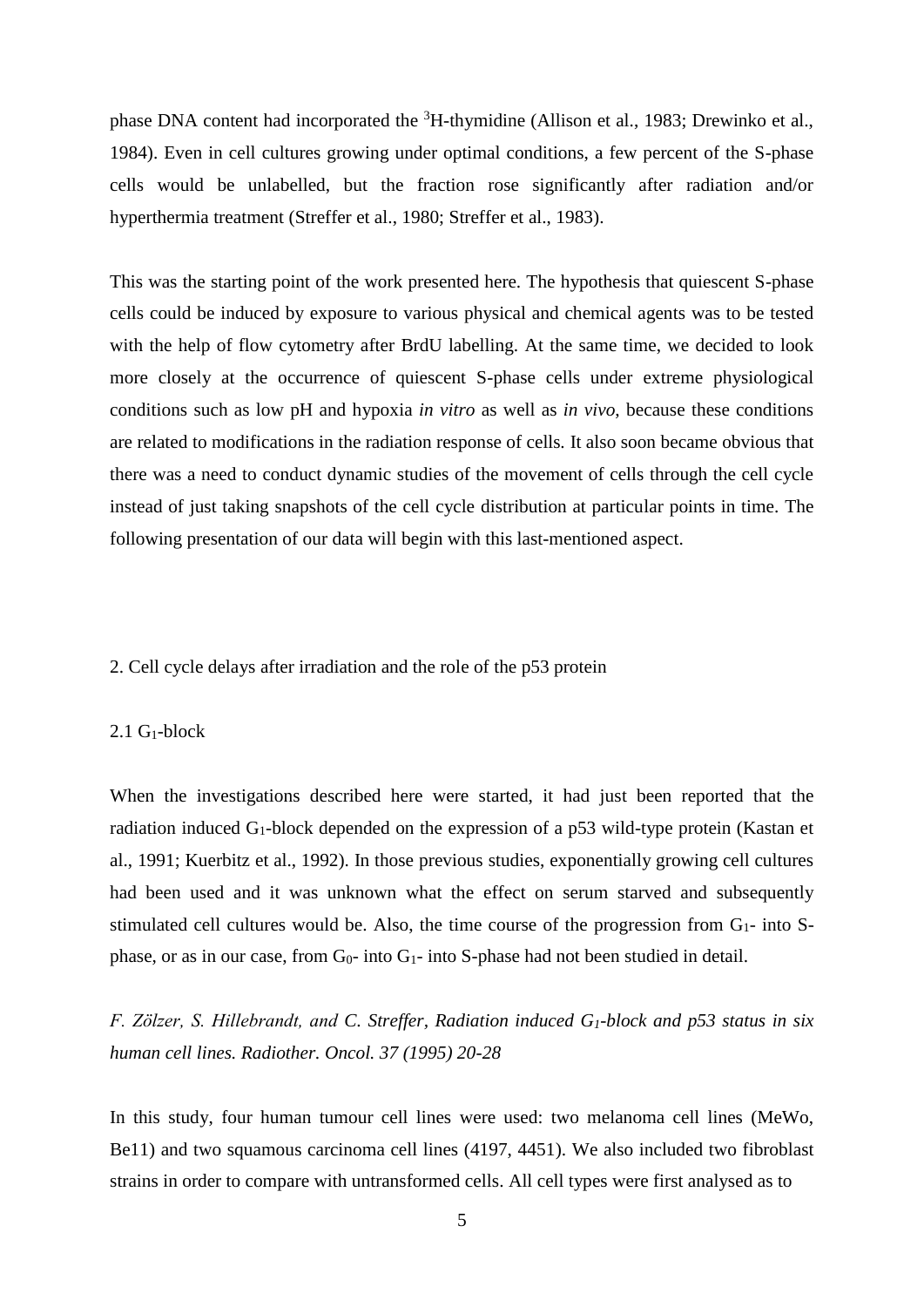phase DNA content had incorporated the <sup>3</sup>H-thymidine (Allison et al., 1983; Drewinko et al., 1984). Even in cell cultures growing under optimal conditions, a few percent of the S-phase cells would be unlabelled, but the fraction rose significantly after radiation and/or hyperthermia treatment (Streffer et al., 1980; Streffer et al., 1983).

This was the starting point of the work presented here. The hypothesis that quiescent S-phase cells could be induced by exposure to various physical and chemical agents was to be tested with the help of flow cytometry after BrdU labelling. At the same time, we decided to look more closely at the occurrence of quiescent S-phase cells under extreme physiological conditions such as low pH and hypoxia *in vitro* as well as *in vivo*, because these conditions are related to modifications in the radiation response of cells*.* It also soon became obvious that there was a need to conduct dynamic studies of the movement of cells through the cell cycle instead of just taking snapshots of the cell cycle distribution at particular points in time. The following presentation of our data will begin with this last-mentioned aspect.

### 2. Cell cycle delays after irradiation and the role of the p53 protein

### $2.1$  G<sub>1</sub>-block

When the investigations described here were started, it had just been reported that the radiation induced G1-block depended on the expression of a p53 wild-type protein (Kastan et al., 1991; Kuerbitz et al., 1992). In those previous studies, exponentially growing cell cultures had been used and it was unknown what the effect on serum starved and subsequently stimulated cell cultures would be. Also, the time course of the progression from  $G_1$ - into Sphase, or as in our case, from  $G_0$ - into  $G_1$ - into S-phase had not been studied in detail.

*F. Zölzer, S. Hillebrandt, and C. Streffer, Radiation induced G1-block and p53 status in six human cell lines. Radiother. Oncol. 37 (1995) 20-28*

In this study, four human tumour cell lines were used: two melanoma cell lines (MeWo, Be11) and two squamous carcinoma cell lines (4197, 4451). We also included two fibroblast strains in order to compare with untransformed cells. All cell types were first analysed as to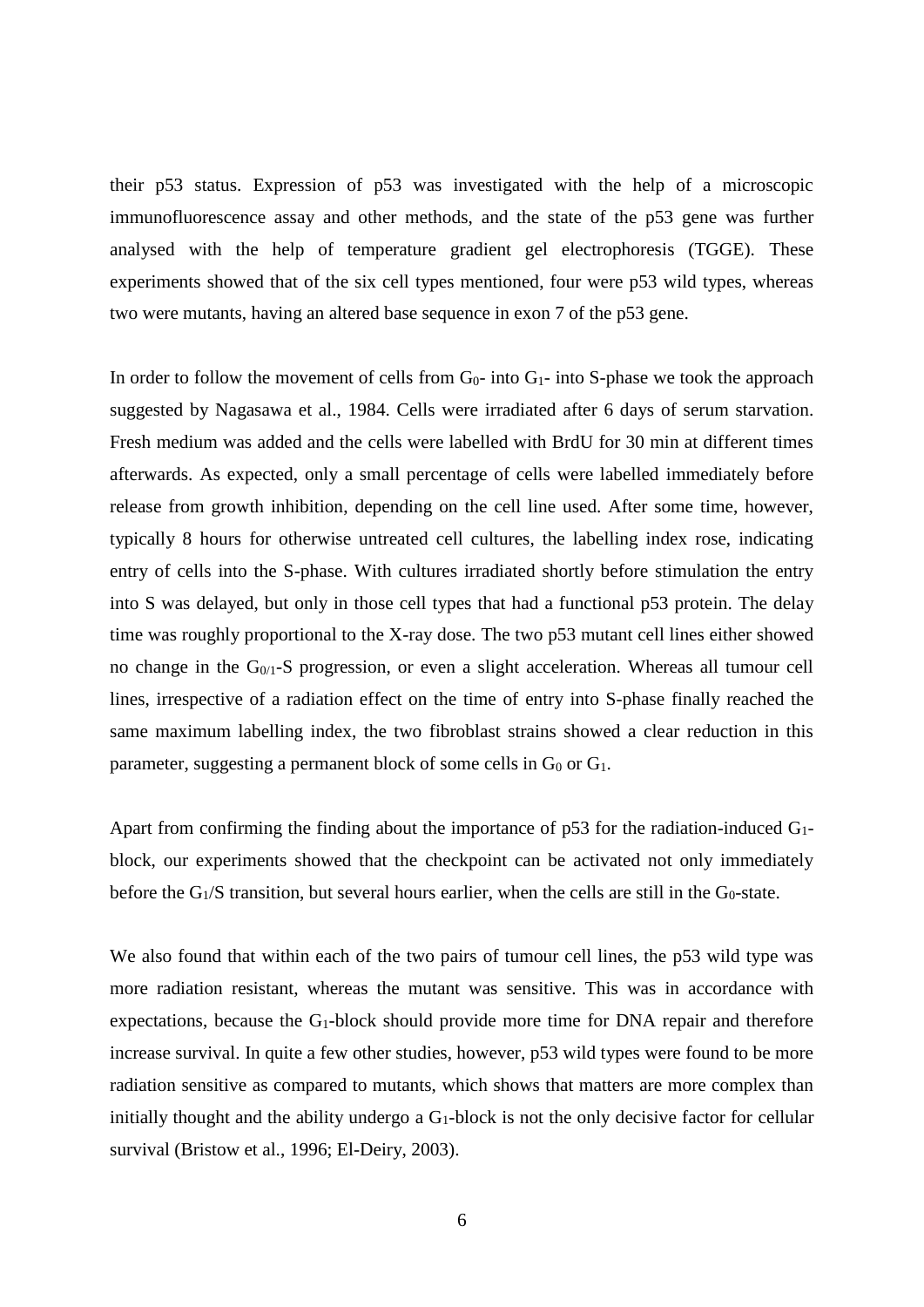their p53 status. Expression of p53 was investigated with the help of a microscopic immunofluorescence assay and other methods, and the state of the p53 gene was further analysed with the help of temperature gradient gel electrophoresis (TGGE). These experiments showed that of the six cell types mentioned, four were p53 wild types, whereas two were mutants, having an altered base sequence in exon 7 of the p53 gene.

In order to follow the movement of cells from  $G_0$ - into  $G_1$ - into S-phase we took the approach suggested by Nagasawa et al., 1984. Cells were irradiated after 6 days of serum starvation. Fresh medium was added and the cells were labelled with BrdU for 30 min at different times afterwards. As expected, only a small percentage of cells were labelled immediately before release from growth inhibition, depending on the cell line used. After some time, however, typically 8 hours for otherwise untreated cell cultures, the labelling index rose, indicating entry of cells into the S-phase. With cultures irradiated shortly before stimulation the entry into S was delayed, but only in those cell types that had a functional p53 protein. The delay time was roughly proportional to the X-ray dose. The two p53 mutant cell lines either showed no change in the G0/1-S progression, or even a slight acceleration. Whereas all tumour cell lines, irrespective of a radiation effect on the time of entry into S-phase finally reached the same maximum labelling index, the two fibroblast strains showed a clear reduction in this parameter, suggesting a permanent block of some cells in  $G_0$  or  $G_1$ .

Apart from confirming the finding about the importance of  $p53$  for the radiation-induced  $G_1$ block, our experiments showed that the checkpoint can be activated not only immediately before the  $G_1/S$  transition, but several hours earlier, when the cells are still in the  $G_0$ -state.

We also found that within each of the two pairs of tumour cell lines, the p53 wild type was more radiation resistant, whereas the mutant was sensitive. This was in accordance with expectations, because the G1-block should provide more time for DNA repair and therefore increase survival. In quite a few other studies, however, p53 wild types were found to be more radiation sensitive as compared to mutants, which shows that matters are more complex than initially thought and the ability undergo a  $G_1$ -block is not the only decisive factor for cellular survival (Bristow et al., 1996; El-Deiry, 2003).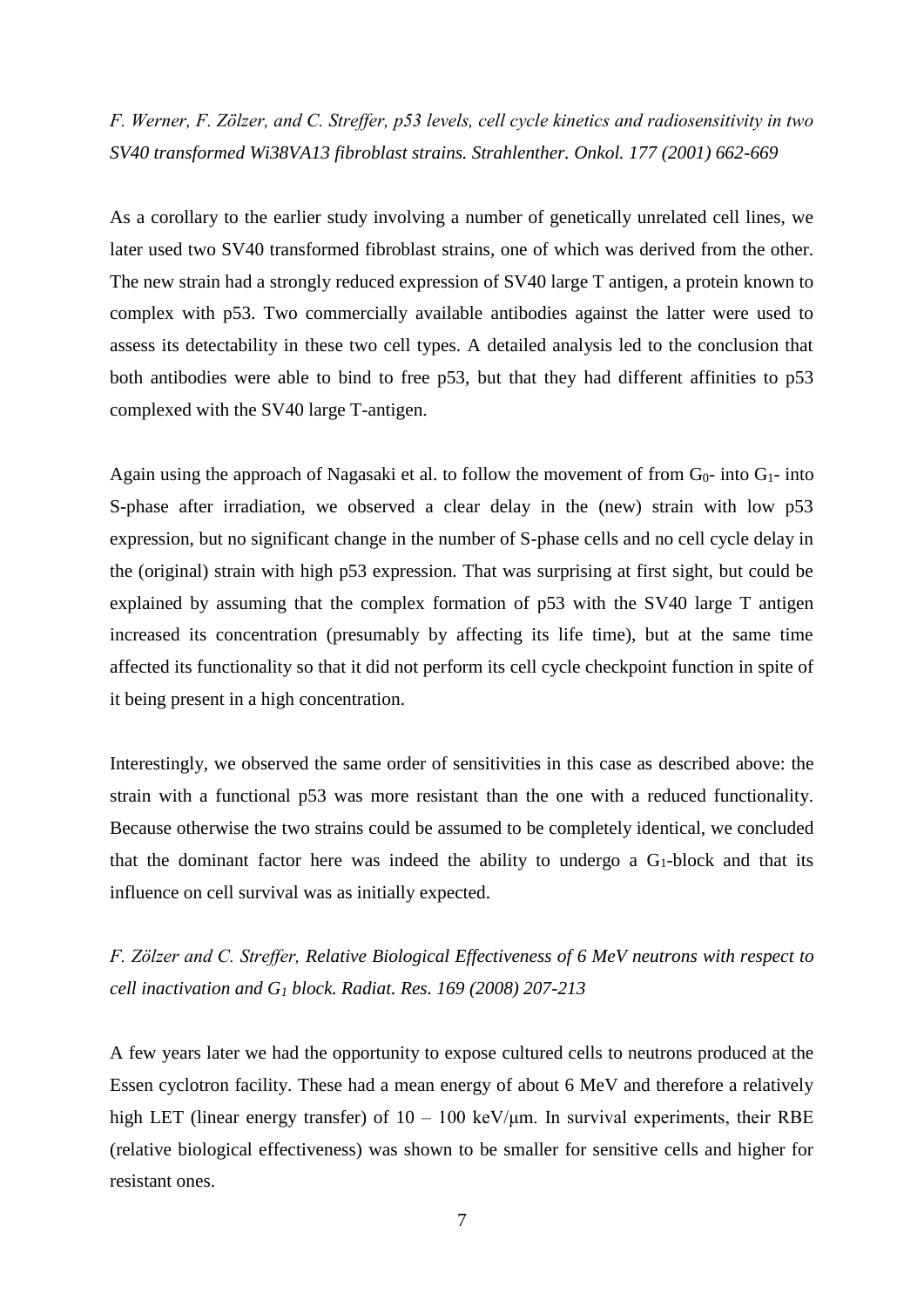## *F. Werner, F. Zölzer, and C. Streffer, p53 levels, cell cycle kinetics and radiosensitivity in two SV40 transformed Wi38VA13 fibroblast strains. Strahlenther. Onkol. 177 (2001) 662-669*

As a corollary to the earlier study involving a number of genetically unrelated cell lines, we later used two SV40 transformed fibroblast strains, one of which was derived from the other. The new strain had a strongly reduced expression of SV40 large T antigen, a protein known to complex with p53. Two commercially available antibodies against the latter were used to assess its detectability in these two cell types. A detailed analysis led to the conclusion that both antibodies were able to bind to free p53, but that they had different affinities to p53 complexed with the SV40 large T-antigen.

Again using the approach of Nagasaki et al. to follow the movement of from  $G_0$ - into  $G_1$ - into S-phase after irradiation, we observed a clear delay in the (new) strain with low p53 expression, but no significant change in the number of S-phase cells and no cell cycle delay in the (original) strain with high p53 expression. That was surprising at first sight, but could be explained by assuming that the complex formation of p53 with the SV40 large T antigen increased its concentration (presumably by affecting its life time), but at the same time affected its functionality so that it did not perform its cell cycle checkpoint function in spite of it being present in a high concentration.

Interestingly, we observed the same order of sensitivities in this case as described above: the strain with a functional p53 was more resistant than the one with a reduced functionality. Because otherwise the two strains could be assumed to be completely identical, we concluded that the dominant factor here was indeed the ability to undergo a  $G_1$ -block and that its influence on cell survival was as initially expected.

*F. Zölzer and C. Streffer, Relative Biological Effectiveness of 6 MeV neutrons with respect to cell inactivation and G<sup>1</sup> block. Radiat. Res. 169 (2008) 207-213*

A few years later we had the opportunity to expose cultured cells to neutrons produced at the Essen cyclotron facility. These had a mean energy of about 6 MeV and therefore a relatively high LET (linear energy transfer) of  $10 - 100 \text{ keV/\mu m}$ . In survival experiments, their RBE (relative biological effectiveness) was shown to be smaller for sensitive cells and higher for resistant ones.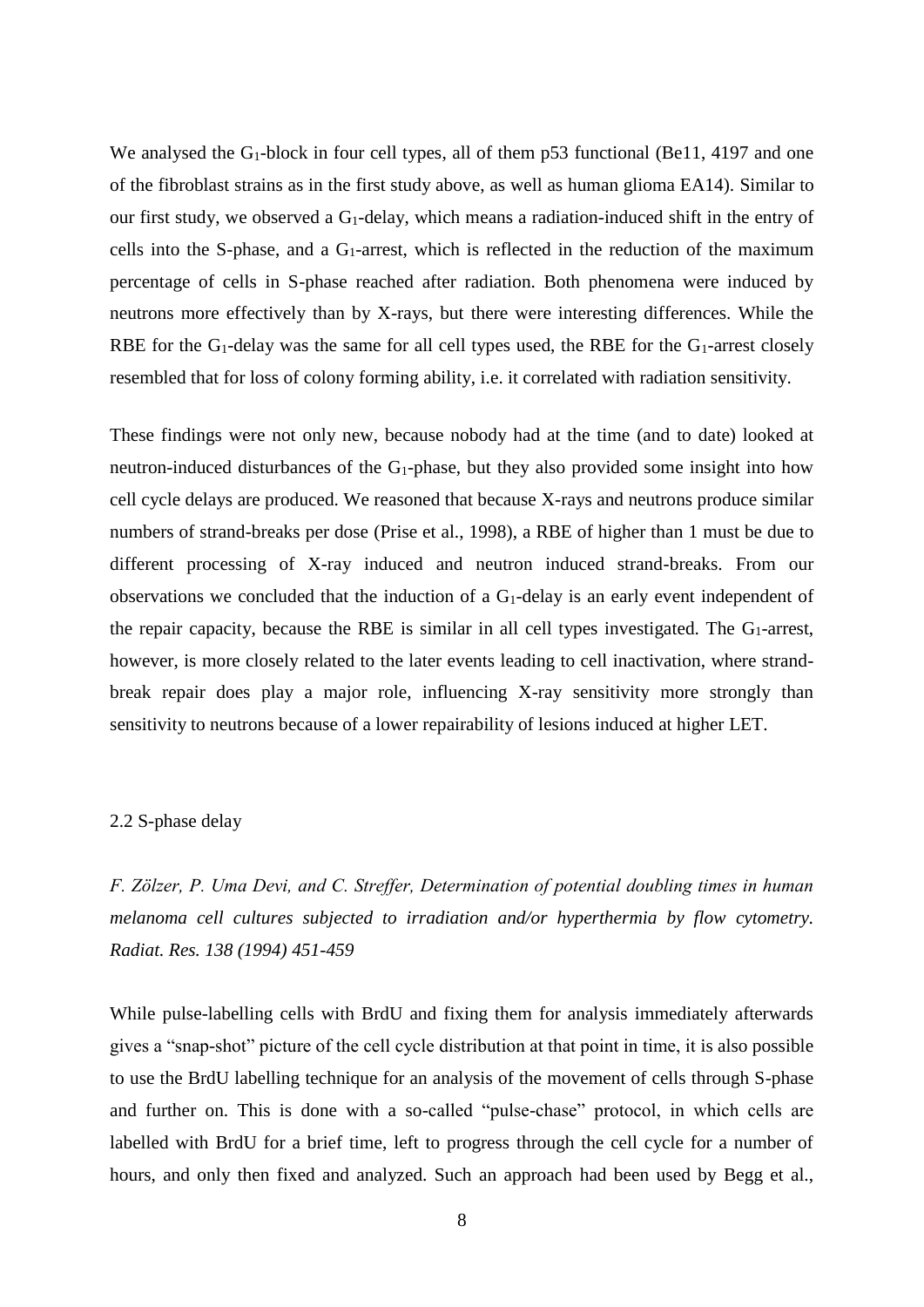We analysed the  $G_1$ -block in four cell types, all of them p53 functional (Be11, 4197 and one of the fibroblast strains as in the first study above, as well as human glioma EA14). Similar to our first study, we observed a  $G_1$ -delay, which means a radiation-induced shift in the entry of cells into the S-phase, and a  $G_1$ -arrest, which is reflected in the reduction of the maximum percentage of cells in S-phase reached after radiation. Both phenomena were induced by neutrons more effectively than by X-rays, but there were interesting differences. While the RBE for the G<sub>1</sub>-delay was the same for all cell types used, the RBE for the G<sub>1</sub>-arrest closely resembled that for loss of colony forming ability, i.e. it correlated with radiation sensitivity.

These findings were not only new, because nobody had at the time (and to date) looked at neutron-induced disturbances of the  $G_1$ -phase, but they also provided some insight into how cell cycle delays are produced. We reasoned that because X-rays and neutrons produce similar numbers of strand-breaks per dose (Prise et al., 1998), a RBE of higher than 1 must be due to different processing of X-ray induced and neutron induced strand-breaks. From our observations we concluded that the induction of a G1-delay is an early event independent of the repair capacity, because the RBE is similar in all cell types investigated. The  $G_1$ -arrest, however, is more closely related to the later events leading to cell inactivation, where strandbreak repair does play a major role, influencing X-ray sensitivity more strongly than sensitivity to neutrons because of a lower repairability of lesions induced at higher LET.

### 2.2 S-phase delay

*F. Zölzer, P. Uma Devi, and C. Streffer, Determination of potential doubling times in human melanoma cell cultures subjected to irradiation and/or hyperthermia by flow cytometry. Radiat. Res. 138 (1994) 451-459*

While pulse-labelling cells with BrdU and fixing them for analysis immediately afterwards gives a "snap-shot" picture of the cell cycle distribution at that point in time, it is also possible to use the BrdU labelling technique for an analysis of the movement of cells through S-phase and further on. This is done with a so-called "pulse-chase" protocol, in which cells are labelled with BrdU for a brief time, left to progress through the cell cycle for a number of hours, and only then fixed and analyzed. Such an approach had been used by Begg et al.,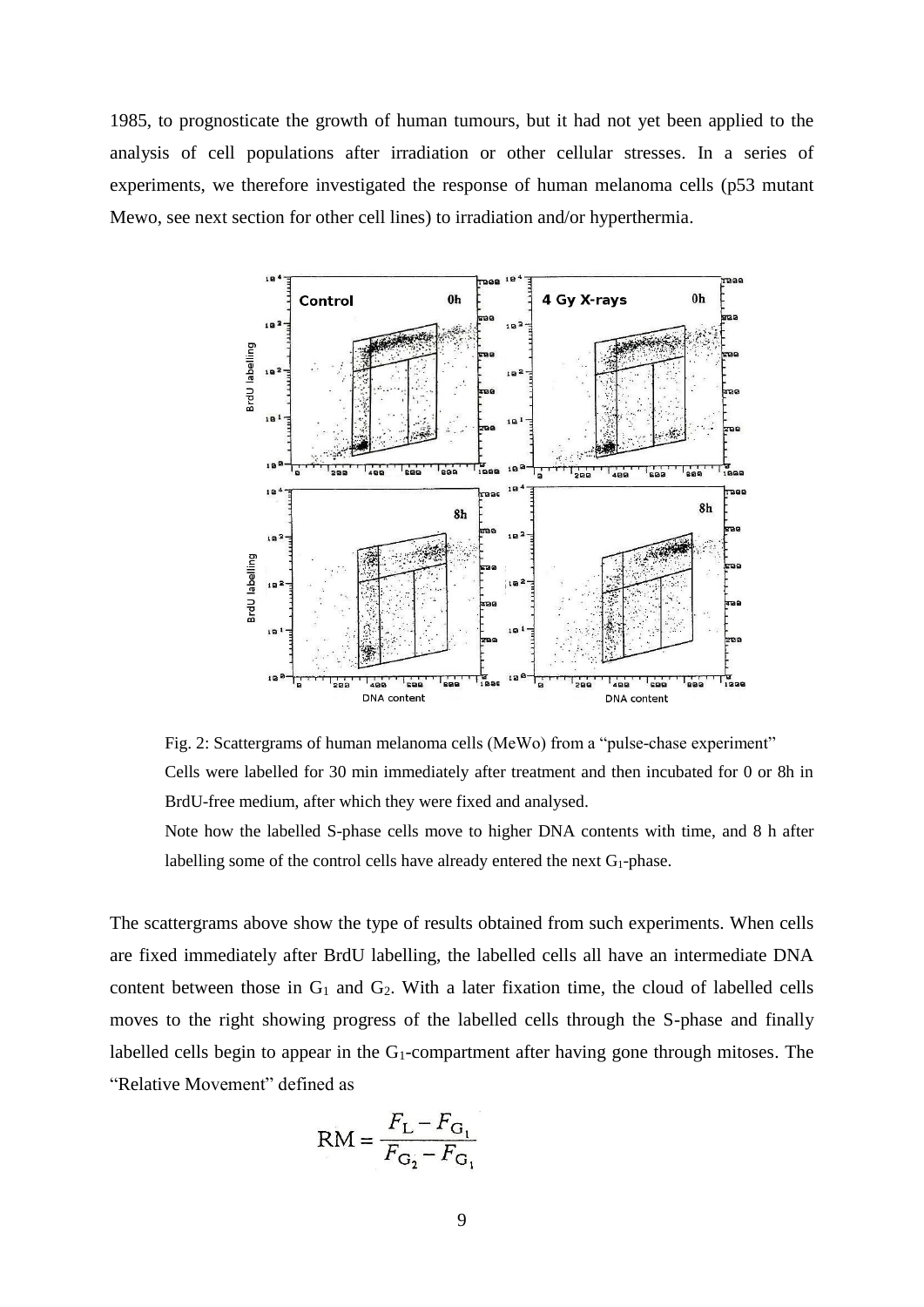1985, to prognosticate the growth of human tumours, but it had not yet been applied to the analysis of cell populations after irradiation or other cellular stresses. In a series of experiments, we therefore investigated the response of human melanoma cells (p53 mutant Mewo, see next section for other cell lines) to irradiation and/or hyperthermia.



Fig. 2: Scattergrams of human melanoma cells (MeWo) from a "pulse-chase experiment" Cells were labelled for 30 min immediately after treatment and then incubated for 0 or 8h in BrdU-free medium, after which they were fixed and analysed.

Note how the labelled S-phase cells move to higher DNA contents with time, and 8 h after labelling some of the control cells have already entered the next  $G_1$ -phase.

The scattergrams above show the type of results obtained from such experiments. When cells are fixed immediately after BrdU labelling, the labelled cells all have an intermediate DNA content between those in  $G_1$  and  $G_2$ . With a later fixation time, the cloud of labelled cells moves to the right showing progress of the labelled cells through the S-phase and finally labelled cells begin to appear in the  $G_1$ -compartment after having gone through mitoses. The "Relative Movement" defined as

$$
RM = \frac{F_{L} - F_{G_1}}{F_{G_2} - F_{G_1}}
$$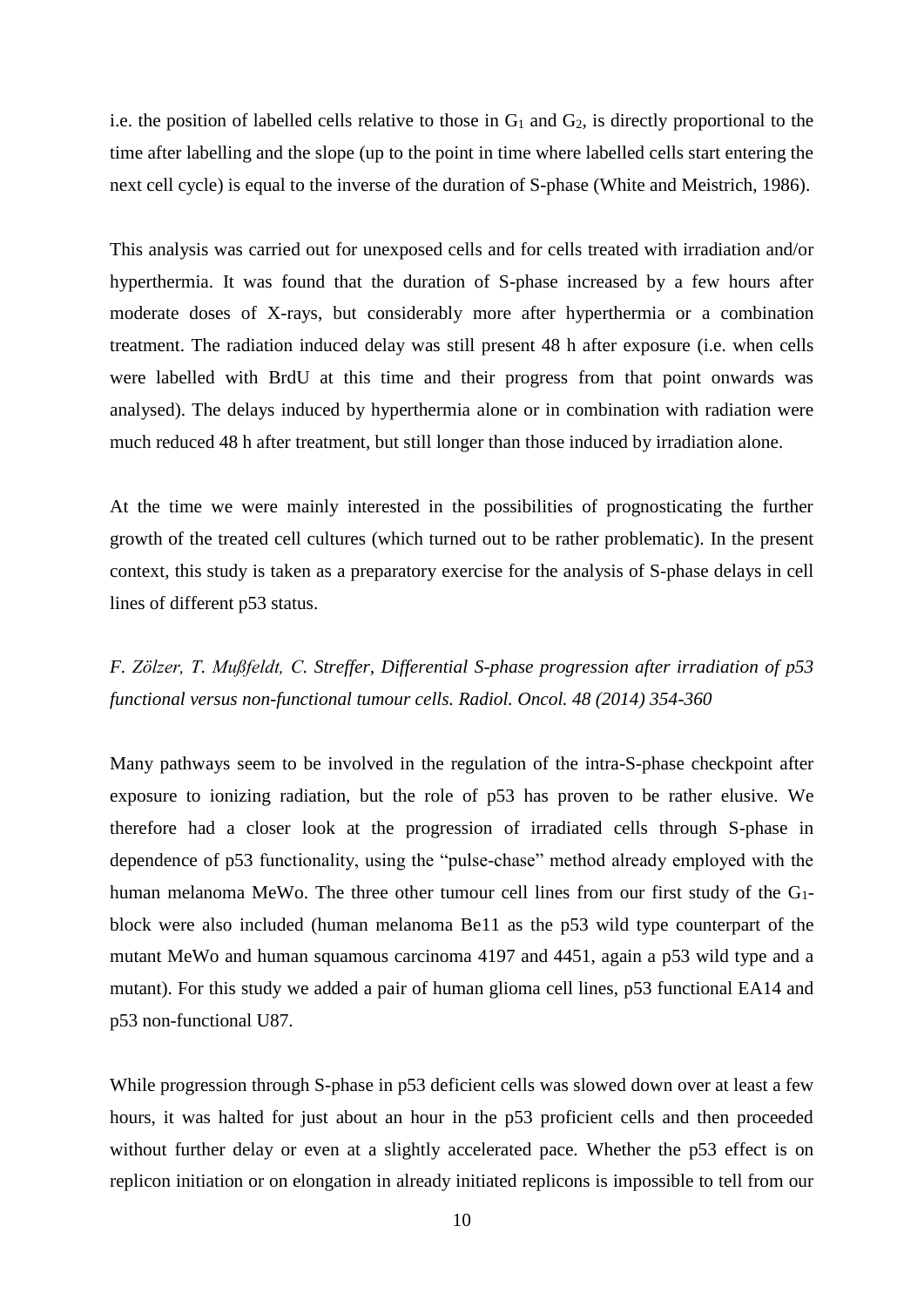i.e. the position of labelled cells relative to those in  $G_1$  and  $G_2$ , is directly proportional to the time after labelling and the slope (up to the point in time where labelled cells start entering the next cell cycle) is equal to the inverse of the duration of S-phase (White and Meistrich, 1986).

This analysis was carried out for unexposed cells and for cells treated with irradiation and/or hyperthermia. It was found that the duration of S-phase increased by a few hours after moderate doses of X-rays, but considerably more after hyperthermia or a combination treatment. The radiation induced delay was still present 48 h after exposure (i.e. when cells were labelled with BrdU at this time and their progress from that point onwards was analysed). The delays induced by hyperthermia alone or in combination with radiation were much reduced 48 h after treatment, but still longer than those induced by irradiation alone.

At the time we were mainly interested in the possibilities of prognosticating the further growth of the treated cell cultures (which turned out to be rather problematic). In the present context, this study is taken as a preparatory exercise for the analysis of S-phase delays in cell lines of different p53 status.

*F. Zölzer, T. Mußfeldt, C. Streffer, Differential S-phase progression after irradiation of p53 functional versus non-functional tumour cells. Radiol. Oncol. 48 (2014) 354-360*

Many pathways seem to be involved in the regulation of the intra-S-phase checkpoint after exposure to ionizing radiation, but the role of p53 has proven to be rather elusive. We therefore had a closer look at the progression of irradiated cells through S-phase in dependence of p53 functionality, using the "pulse-chase" method already employed with the human melanoma MeWo. The three other tumour cell lines from our first study of the G1 block were also included (human melanoma Be11 as the p53 wild type counterpart of the mutant MeWo and human squamous carcinoma 4197 and 4451, again a p53 wild type and a mutant). For this study we added a pair of human glioma cell lines, p53 functional EA14 and p53 non-functional U87.

While progression through S-phase in p53 deficient cells was slowed down over at least a few hours, it was halted for just about an hour in the p53 proficient cells and then proceeded without further delay or even at a slightly accelerated pace. Whether the p53 effect is on replicon initiation or on elongation in already initiated replicons is impossible to tell from our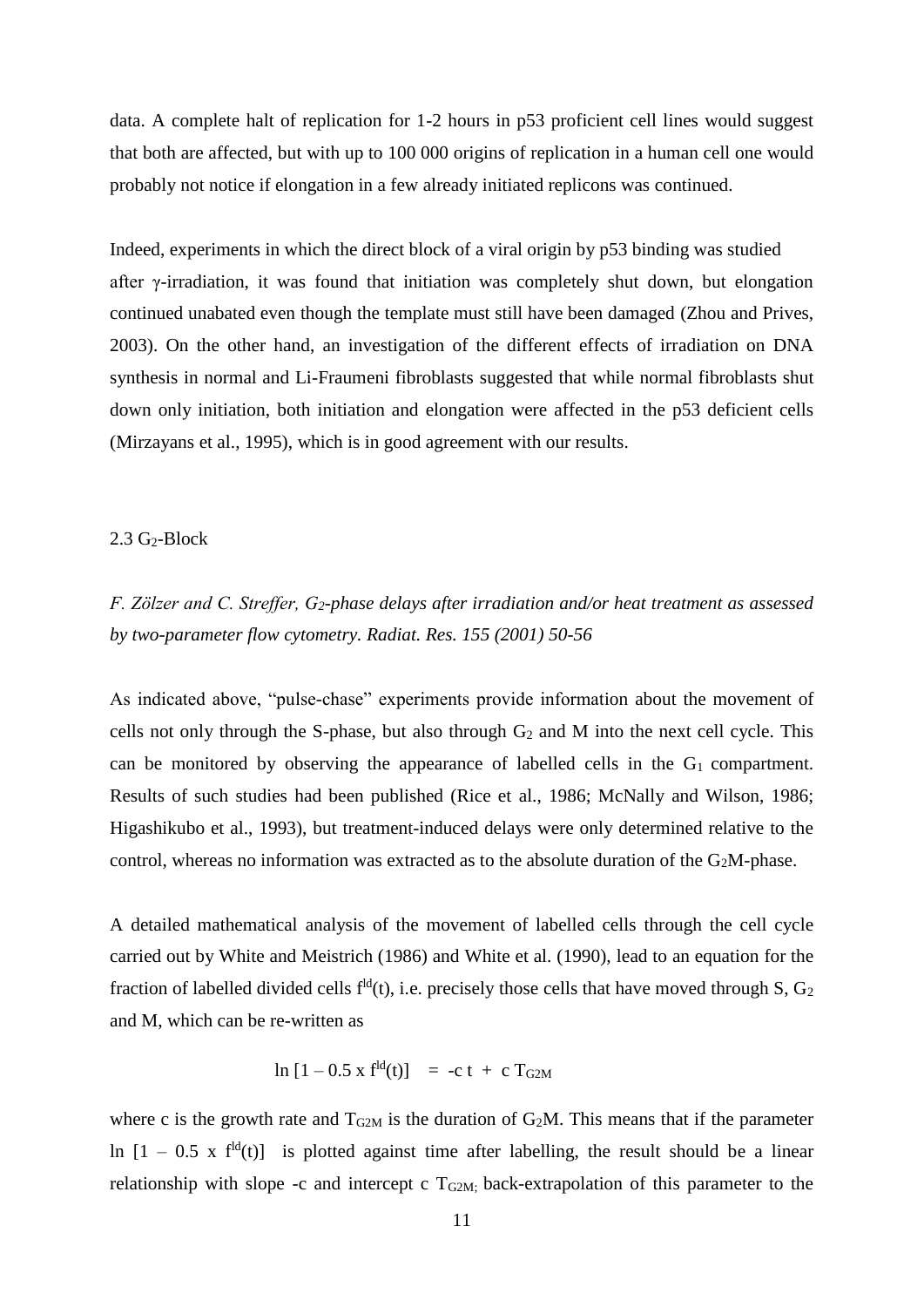data. A complete halt of replication for 1-2 hours in p53 proficient cell lines would suggest that both are affected, but with up to 100 000 origins of replication in a human cell one would probably not notice if elongation in a few already initiated replicons was continued.

Indeed, experiments in which the direct block of a viral origin by p53 binding was studied after γ-irradiation, it was found that initiation was completely shut down, but elongation continued unabated even though the template must still have been damaged (Zhou and Prives, 2003). On the other hand, an investigation of the different effects of irradiation on DNA synthesis in normal and Li-Fraumeni fibroblasts suggested that while normal fibroblasts shut down only initiation, both initiation and elongation were affected in the p53 deficient cells (Mirzayans et al., 1995), which is in good agreement with our results.

### $2.3$  G<sub>2</sub>-Block

*F. Zölzer and C. Streffer, G2-phase delays after irradiation and/or heat treatment as assessed by two-parameter flow cytometry. Radiat. Res. 155 (2001) 50-56*

As indicated above, "pulse-chase" experiments provide information about the movement of cells not only through the S-phase, but also through  $G_2$  and M into the next cell cycle. This can be monitored by observing the appearance of labelled cells in the  $G_1$  compartment. Results of such studies had been published (Rice et al., 1986; McNally and Wilson, 1986; Higashikubo et al., 1993), but treatment-induced delays were only determined relative to the control, whereas no information was extracted as to the absolute duration of the  $G_2M$ -phase.

A detailed mathematical analysis of the movement of labelled cells through the cell cycle carried out by White and Meistrich (1986) and White et al. (1990), lead to an equation for the fraction of labelled divided cells  $f^{ld}(t)$ , i.e. precisely those cells that have moved through S,  $G_2$ and M, which can be re-written as

$$
\ln [1 - 0.5 \times f^{ld}(t)] = -c t + c T_{G2M}
$$

where c is the growth rate and  $T_{G2M}$  is the duration of  $G_2M$ . This means that if the parameter ln  $[1 - 0.5 \times f^{dd}(t)]$  is plotted against time after labelling, the result should be a linear relationship with slope -c and intercept c  $T_{G2M}$ ; back-extrapolation of this parameter to the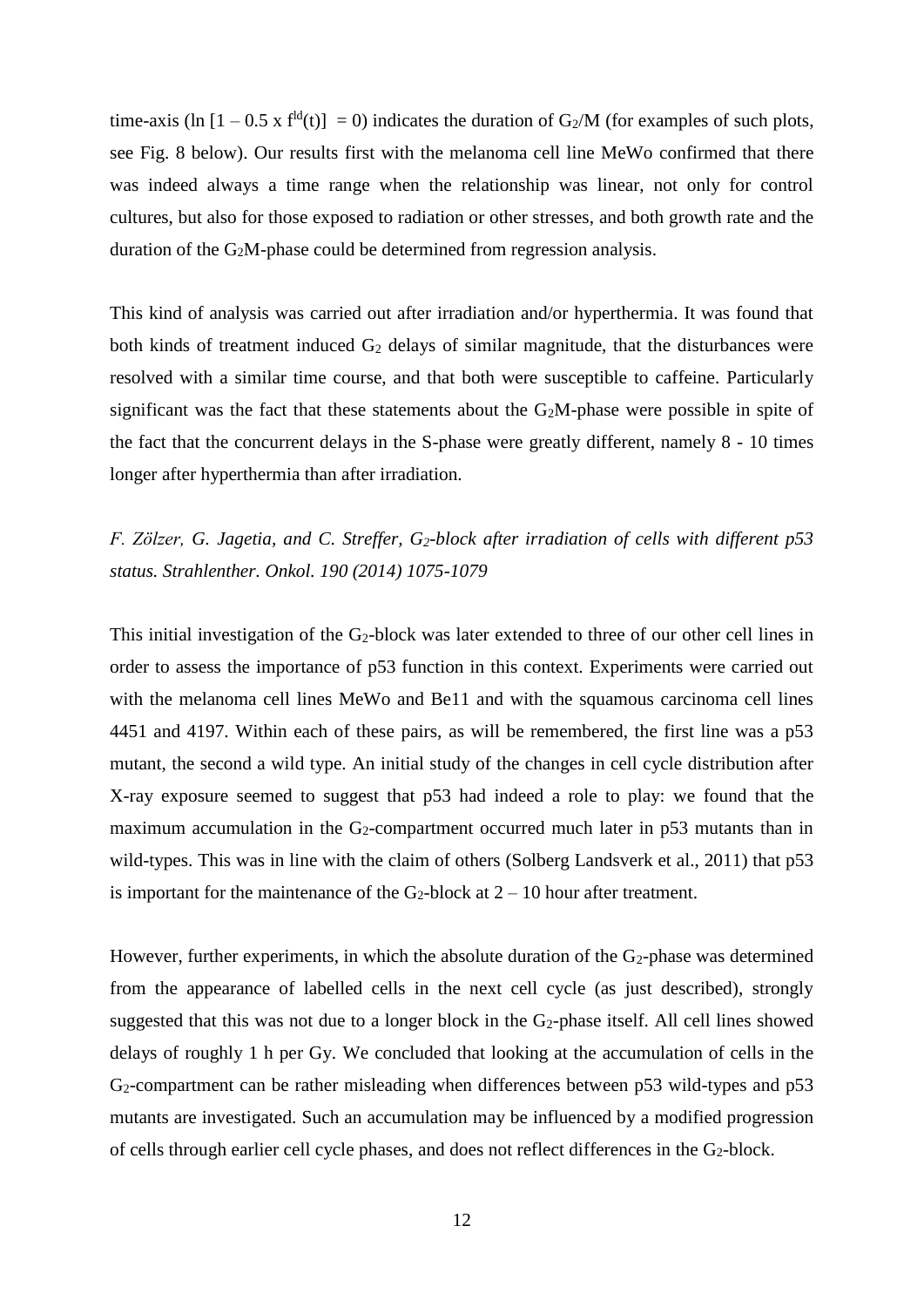time-axis (ln  $[1 - 0.5 \times f^{ld}(t)] = 0$ ) indicates the duration of G<sub>2</sub>/M (for examples of such plots, see Fig. 8 below). Our results first with the melanoma cell line MeWo confirmed that there was indeed always a time range when the relationship was linear, not only for control cultures, but also for those exposed to radiation or other stresses, and both growth rate and the duration of the G2M-phase could be determined from regression analysis.

This kind of analysis was carried out after irradiation and/or hyperthermia. It was found that both kinds of treatment induced  $G_2$  delays of similar magnitude, that the disturbances were resolved with a similar time course, and that both were susceptible to caffeine. Particularly significant was the fact that these statements about the  $G<sub>2</sub>M$ -phase were possible in spite of the fact that the concurrent delays in the S-phase were greatly different, namely 8 - 10 times longer after hyperthermia than after irradiation.

# *F. Zölzer, G. Jagetia, and C. Streffer, G2-block after irradiation of cells with different p53 status. Strahlenther. Onkol. 190 (2014) 1075-1079*

This initial investigation of the  $G_2$ -block was later extended to three of our other cell lines in order to assess the importance of p53 function in this context. Experiments were carried out with the melanoma cell lines MeWo and Be11 and with the squamous carcinoma cell lines 4451 and 4197. Within each of these pairs, as will be remembered, the first line was a p53 mutant, the second a wild type. An initial study of the changes in cell cycle distribution after X-ray exposure seemed to suggest that p53 had indeed a role to play: we found that the maximum accumulation in the  $G_2$ -compartment occurred much later in  $p53$  mutants than in wild-types. This was in line with the claim of others (Solberg Landsverk et al., 2011) that p53 is important for the maintenance of the  $G_2$ -block at  $2 - 10$  hour after treatment.

However, further experiments, in which the absolute duration of the  $G_2$ -phase was determined from the appearance of labelled cells in the next cell cycle (as just described), strongly suggested that this was not due to a longer block in the G<sub>2</sub>-phase itself. All cell lines showed delays of roughly 1 h per Gy. We concluded that looking at the accumulation of cells in the G2-compartment can be rather misleading when differences between p53 wild-types and p53 mutants are investigated. Such an accumulation may be influenced by a modified progression of cells through earlier cell cycle phases, and does not reflect differences in the G2-block.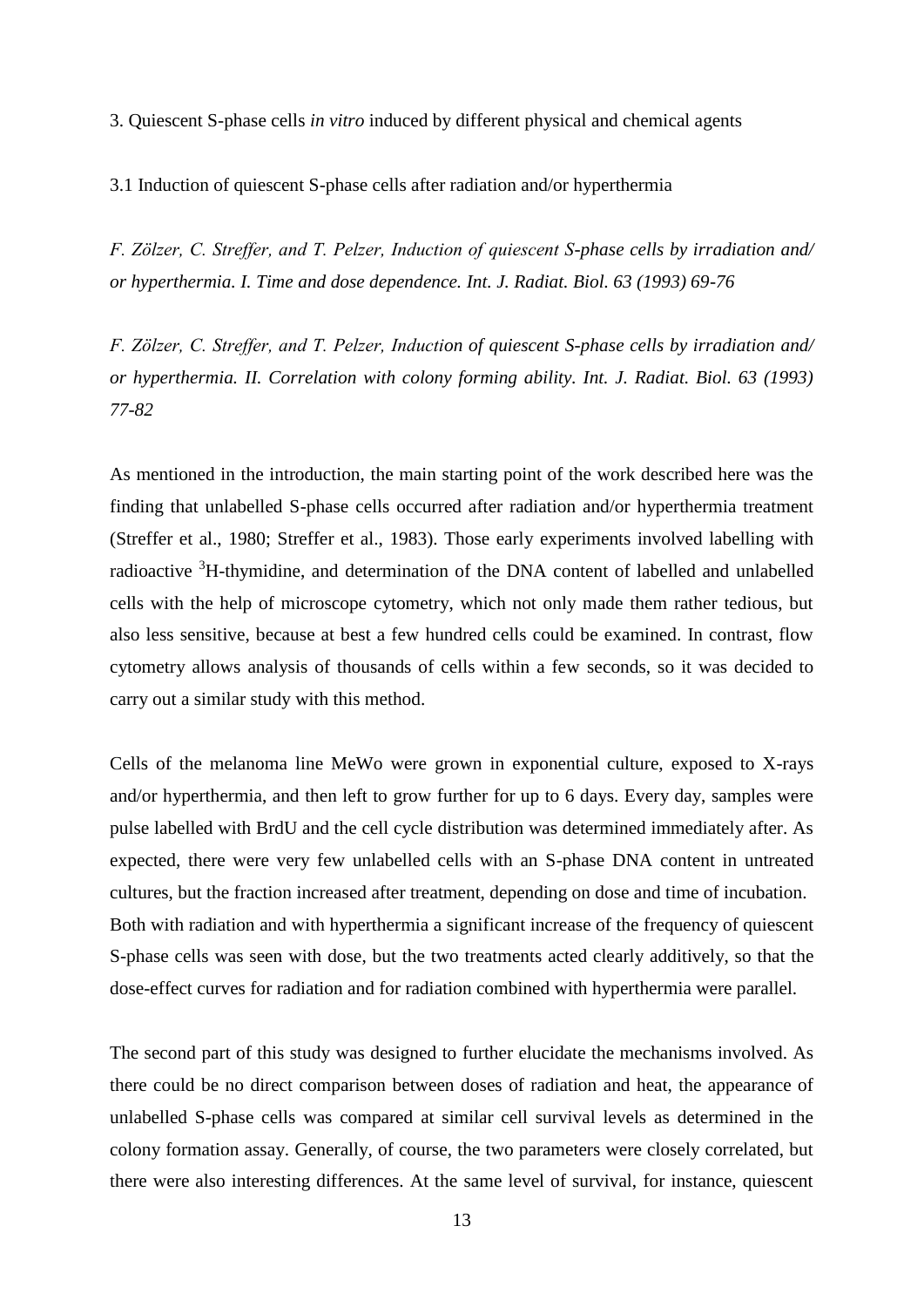3. Quiescent S-phase cells *in vitro* induced by different physical and chemical agents

3.1 Induction of quiescent S-phase cells after radiation and/or hyperthermia

*F. Zölzer, C. Streffer, and T. Pelzer, Induction of quiescent S-phase cells by irradiation and/ or hyperthermia. I. Time and dose dependence. Int. J. Radiat. Biol. 63 (1993) 69-76*

*F. Zölzer, C. Streffer, and T. Pelzer, Induction of quiescent S-phase cells by irradiation and/ or hyperthermia. II. Correlation with colony forming ability. Int. J. Radiat. Biol. 63 (1993) 77-82*

As mentioned in the introduction, the main starting point of the work described here was the finding that unlabelled S-phase cells occurred after radiation and/or hyperthermia treatment (Streffer et al., 1980; Streffer et al., 1983). Those early experiments involved labelling with radioactive <sup>3</sup>H-thymidine, and determination of the DNA content of labelled and unlabelled cells with the help of microscope cytometry, which not only made them rather tedious, but also less sensitive, because at best a few hundred cells could be examined. In contrast, flow cytometry allows analysis of thousands of cells within a few seconds, so it was decided to carry out a similar study with this method.

Cells of the melanoma line MeWo were grown in exponential culture, exposed to X-rays and/or hyperthermia, and then left to grow further for up to 6 days. Every day, samples were pulse labelled with BrdU and the cell cycle distribution was determined immediately after. As expected, there were very few unlabelled cells with an S-phase DNA content in untreated cultures, but the fraction increased after treatment, depending on dose and time of incubation. Both with radiation and with hyperthermia a significant increase of the frequency of quiescent S-phase cells was seen with dose, but the two treatments acted clearly additively, so that the dose-effect curves for radiation and for radiation combined with hyperthermia were parallel.

The second part of this study was designed to further elucidate the mechanisms involved. As there could be no direct comparison between doses of radiation and heat, the appearance of unlabelled S-phase cells was compared at similar cell survival levels as determined in the colony formation assay. Generally, of course, the two parameters were closely correlated, but there were also interesting differences. At the same level of survival, for instance, quiescent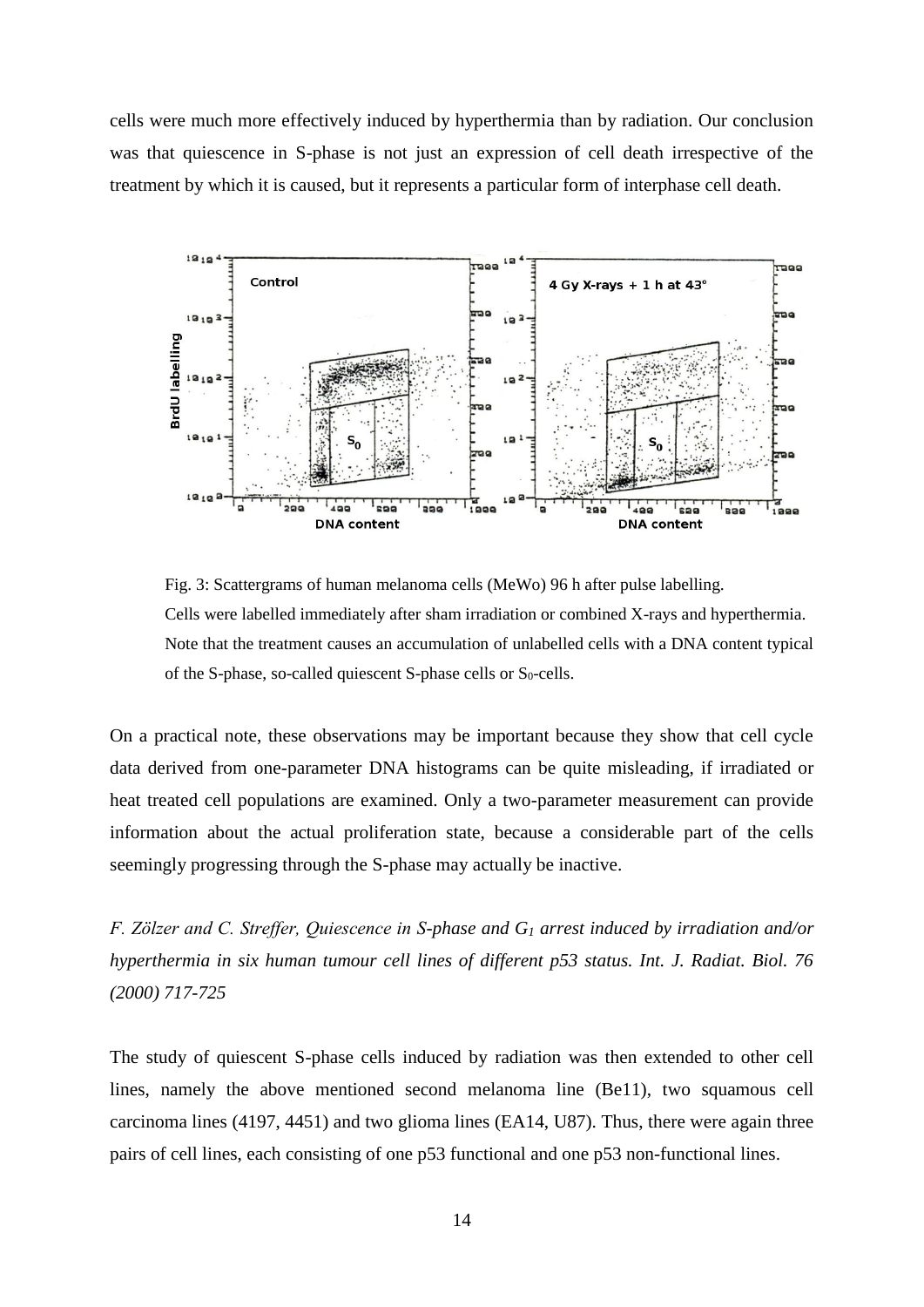cells were much more effectively induced by hyperthermia than by radiation. Our conclusion was that quiescence in S-phase is not just an expression of cell death irrespective of the treatment by which it is caused, but it represents a particular form of interphase cell death.



Fig. 3: Scattergrams of human melanoma cells (MeWo) 96 h after pulse labelling. Cells were labelled immediately after sham irradiation or combined X-rays and hyperthermia. Note that the treatment causes an accumulation of unlabelled cells with a DNA content typical of the S-phase, so-called quiescent S-phase cells or  $S_0$ -cells.

On a practical note, these observations may be important because they show that cell cycle data derived from one-parameter DNA histograms can be quite misleading, if irradiated or heat treated cell populations are examined. Only a two-parameter measurement can provide information about the actual proliferation state, because a considerable part of the cells seemingly progressing through the S-phase may actually be inactive.

*F. Zölzer and C. Streffer, Quiescence in S-phase and G<sup>1</sup> arrest induced by irradiation and/or hyperthermia in six human tumour cell lines of different p53 status. Int. J. Radiat. Biol. 76 (2000) 717-725*

The study of quiescent S-phase cells induced by radiation was then extended to other cell lines, namely the above mentioned second melanoma line (Be11), two squamous cell carcinoma lines (4197, 4451) and two glioma lines (EA14, U87). Thus, there were again three pairs of cell lines, each consisting of one p53 functional and one p53 non-functional lines.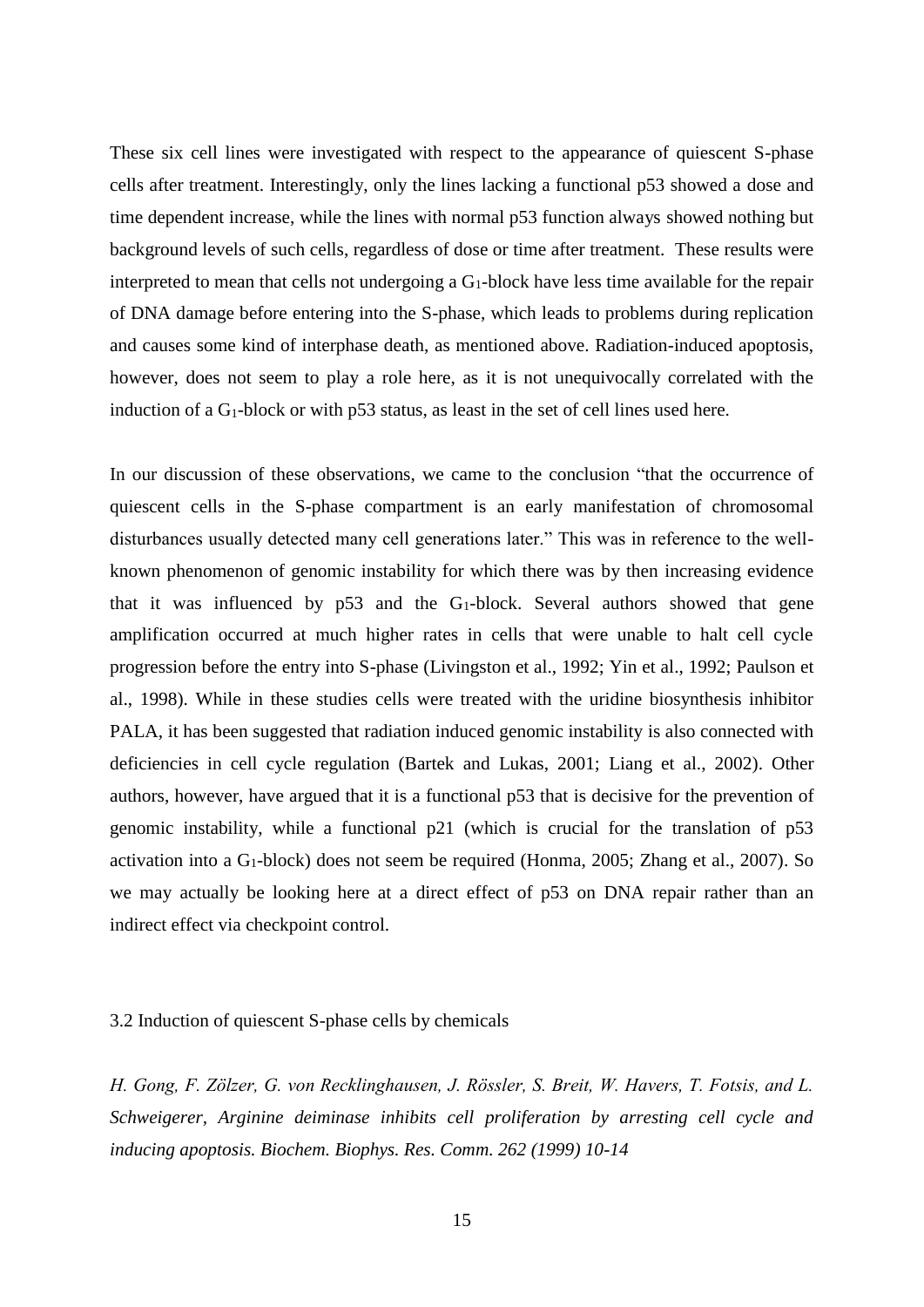These six cell lines were investigated with respect to the appearance of quiescent S-phase cells after treatment. Interestingly, only the lines lacking a functional p53 showed a dose and time dependent increase, while the lines with normal p53 function always showed nothing but background levels of such cells, regardless of dose or time after treatment. These results were interpreted to mean that cells not undergoing a  $G_1$ -block have less time available for the repair of DNA damage before entering into the S-phase, which leads to problems during replication and causes some kind of interphase death, as mentioned above. Radiation-induced apoptosis, however, does not seem to play a role here, as it is not unequivocally correlated with the induction of a  $G_1$ -block or with p53 status, as least in the set of cell lines used here.

In our discussion of these observations, we came to the conclusion "that the occurrence of quiescent cells in the S-phase compartment is an early manifestation of chromosomal disturbances usually detected many cell generations later." This was in reference to the wellknown phenomenon of genomic instability for which there was by then increasing evidence that it was influenced by  $p53$  and the  $G_1$ -block. Several authors showed that gene amplification occurred at much higher rates in cells that were unable to halt cell cycle progression before the entry into S-phase (Livingston et al., 1992; Yin et al., 1992; Paulson et al., 1998). While in these studies cells were treated with the uridine biosynthesis inhibitor PALA, it has been suggested that radiation induced genomic instability is also connected with deficiencies in cell cycle regulation (Bartek and Lukas, 2001; Liang et al., 2002). Other authors, however, have argued that it is a functional p53 that is decisive for the prevention of genomic instability, while a functional p21 (which is crucial for the translation of p53 activation into a  $G_1$ -block) does not seem be required (Honma, 2005; Zhang et al., 2007). So we may actually be looking here at a direct effect of p53 on DNA repair rather than an indirect effect via checkpoint control.

#### 3.2 Induction of quiescent S-phase cells by chemicals

*H. Gong, F. Zölzer, G. von Recklinghausen, J. Rössler, S. Breit, W. Havers, T. Fotsis, and L. Schweigerer, Arginine deiminase inhibits cell proliferation by arresting cell cycle and inducing apoptosis. Biochem. Biophys. Res. Comm. 262 (1999) 10-14*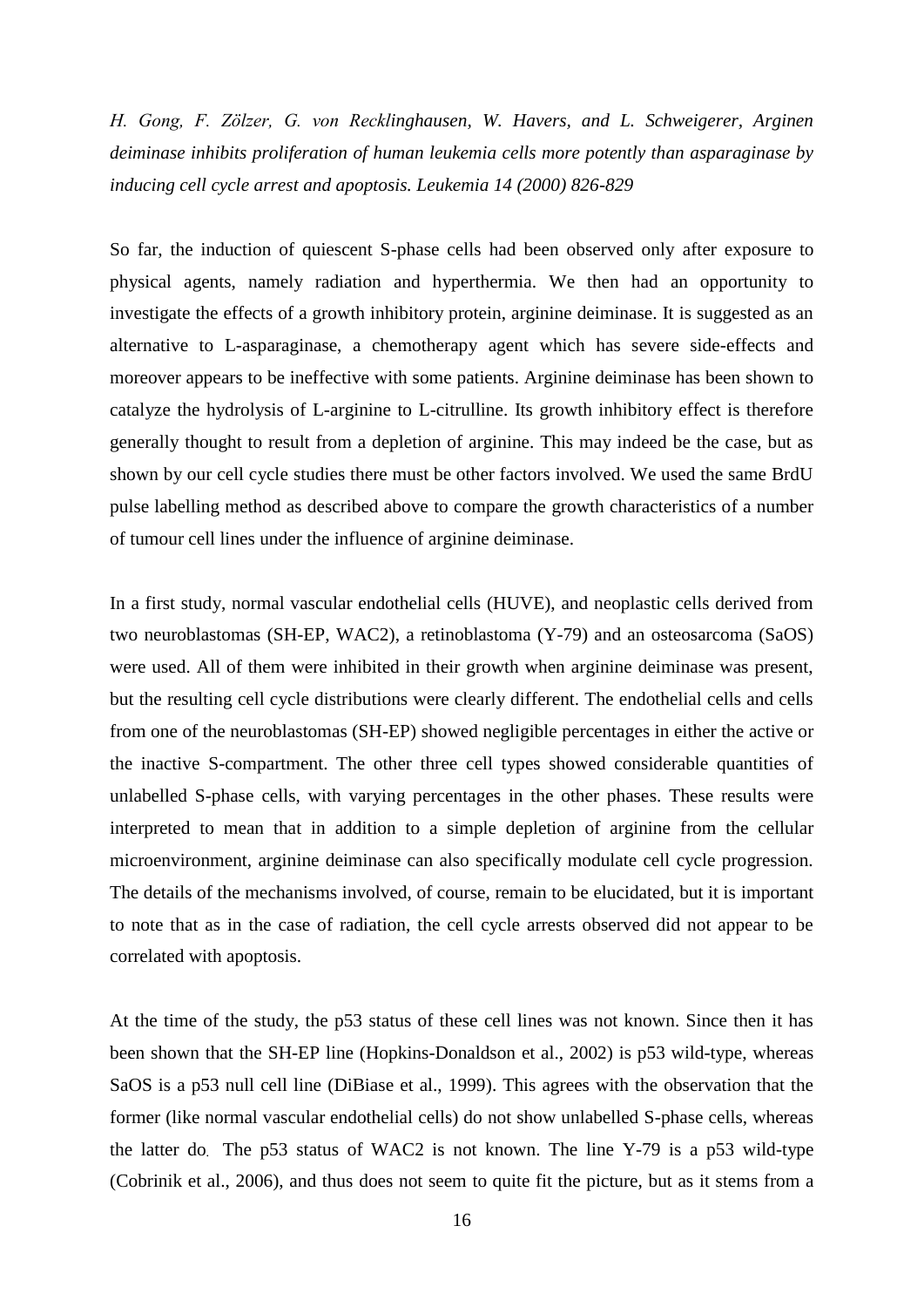*H. Gong, F. Zölzer, G. von Recklinghausen, W. Havers, and L. Schweigerer, Arginen deiminase inhibits proliferation of human leukemia cells more potently than asparaginase by inducing cell cycle arrest and apoptosis. Leukemia 14 (2000) 826-829*

So far, the induction of quiescent S-phase cells had been observed only after exposure to physical agents, namely radiation and hyperthermia. We then had an opportunity to investigate the effects of a growth inhibitory protein, arginine deiminase. It is suggested as an alternative to L-asparaginase, a chemotherapy agent which has severe side-effects and moreover appears to be ineffective with some patients. Arginine deiminase has been shown to catalyze the hydrolysis of L-arginine to L-citrulline. Its growth inhibitory effect is therefore generally thought to result from a depletion of arginine. This may indeed be the case, but as shown by our cell cycle studies there must be other factors involved. We used the same BrdU pulse labelling method as described above to compare the growth characteristics of a number of tumour cell lines under the influence of arginine deiminase.

In a first study, normal vascular endothelial cells (HUVE), and neoplastic cells derived from two neuroblastomas (SH-EP, WAC2), a retinoblastoma (Y-79) and an osteosarcoma (SaOS) were used. All of them were inhibited in their growth when arginine deiminase was present, but the resulting cell cycle distributions were clearly different. The endothelial cells and cells from one of the neuroblastomas (SH-EP) showed negligible percentages in either the active or the inactive S-compartment. The other three cell types showed considerable quantities of unlabelled S-phase cells, with varying percentages in the other phases. These results were interpreted to mean that in addition to a simple depletion of arginine from the cellular microenvironment, arginine deiminase can also specifically modulate cell cycle progression. The details of the mechanisms involved, of course, remain to be elucidated, but it is important to note that as in the case of radiation, the cell cycle arrests observed did not appear to be correlated with apoptosis.

At the time of the study, the p53 status of these cell lines was not known. Since then it has been shown that the SH-EP line (Hopkins-Donaldson et al., 2002) is p53 wild-type, whereas SaOS is a p53 null cell line (DiBiase et al., 1999). This agrees with the observation that the former (like normal vascular endothelial cells) do not show unlabelled S-phase cells, whereas the latter do. The p53 status of WAC2 is not known. The line Y-79 is a p53 wild-type (Cobrinik et al., 2006), and thus does not seem to quite fit the picture, but as it stems from a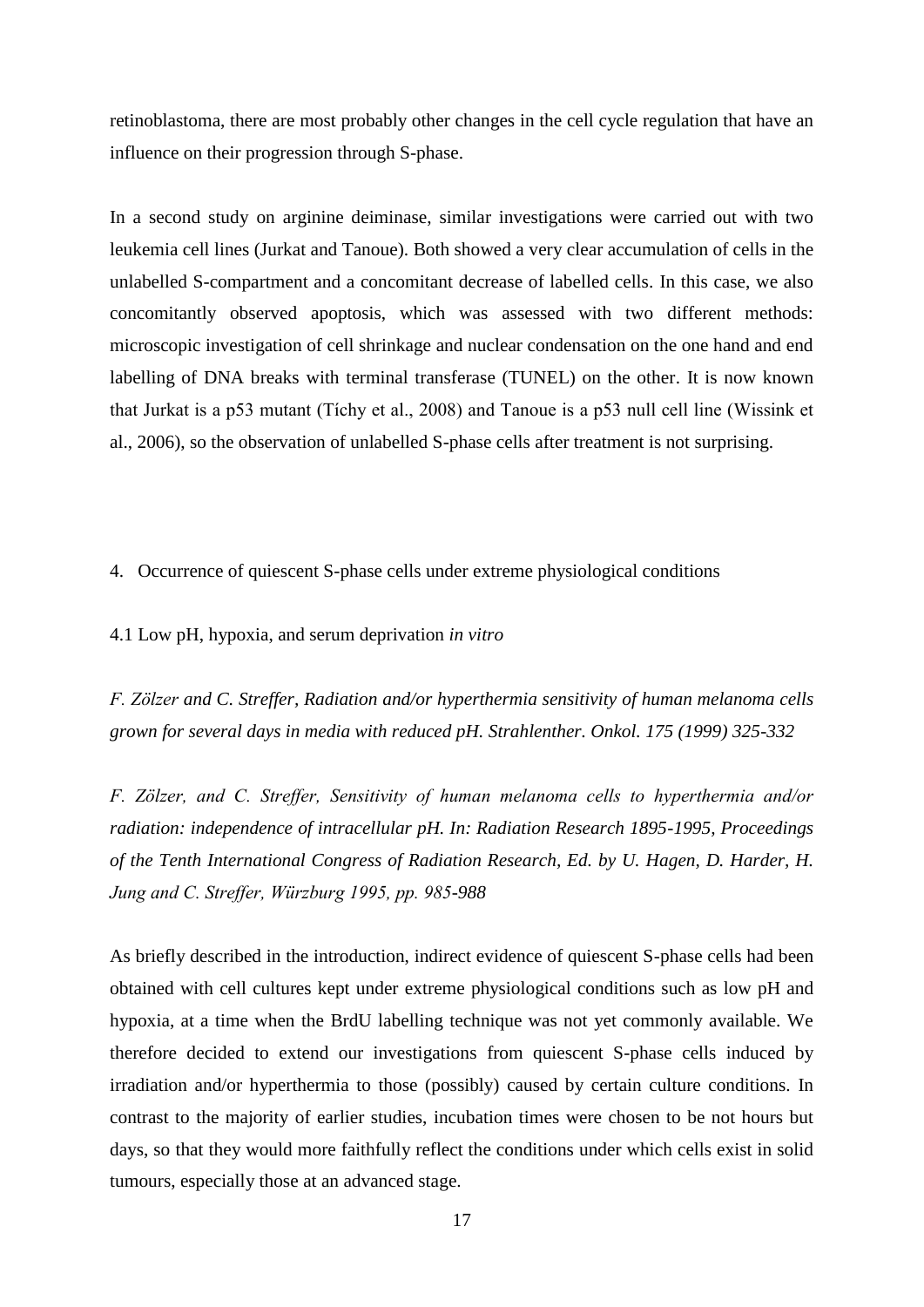retinoblastoma, there are most probably other changes in the cell cycle regulation that have an influence on their progression through S-phase.

In a second study on arginine deiminase, similar investigations were carried out with two leukemia cell lines (Jurkat and Tanoue). Both showed a very clear accumulation of cells in the unlabelled S-compartment and a concomitant decrease of labelled cells. In this case, we also concomitantly observed apoptosis, which was assessed with two different methods: microscopic investigation of cell shrinkage and nuclear condensation on the one hand and end labelling of DNA breaks with terminal transferase (TUNEL) on the other. It is now known that Jurkat is a p53 mutant (Tíchy et al., 2008) and Tanoue is a p53 null cell line (Wissink et al., 2006), so the observation of unlabelled S-phase cells after treatment is not surprising.

4. Occurrence of quiescent S-phase cells under extreme physiological conditions

4.1 Low pH, hypoxia, and serum deprivation *in vitro*

*F. Zölzer and C. Streffer, Radiation and/or hyperthermia sensitivity of human melanoma cells grown for several days in media with reduced pH. Strahlenther. Onkol. 175 (1999) 325-332*

*F. Zölzer, and C. Streffer, Sensitivity of human melanoma cells to hyperthermia and/or radiation: independence of intracellular pH. In: Radiation Research 1895-1995, Proceedings of the Tenth International Congress of Radiation Research, Ed. by U. Hagen, D. Harder, H. Jung and C. Streffer, Würzburg 1995, pp. 985-988*

As briefly described in the introduction, indirect evidence of quiescent S-phase cells had been obtained with cell cultures kept under extreme physiological conditions such as low pH and hypoxia, at a time when the BrdU labelling technique was not yet commonly available. We therefore decided to extend our investigations from quiescent S-phase cells induced by irradiation and/or hyperthermia to those (possibly) caused by certain culture conditions. In contrast to the majority of earlier studies, incubation times were chosen to be not hours but days, so that they would more faithfully reflect the conditions under which cells exist in solid tumours, especially those at an advanced stage.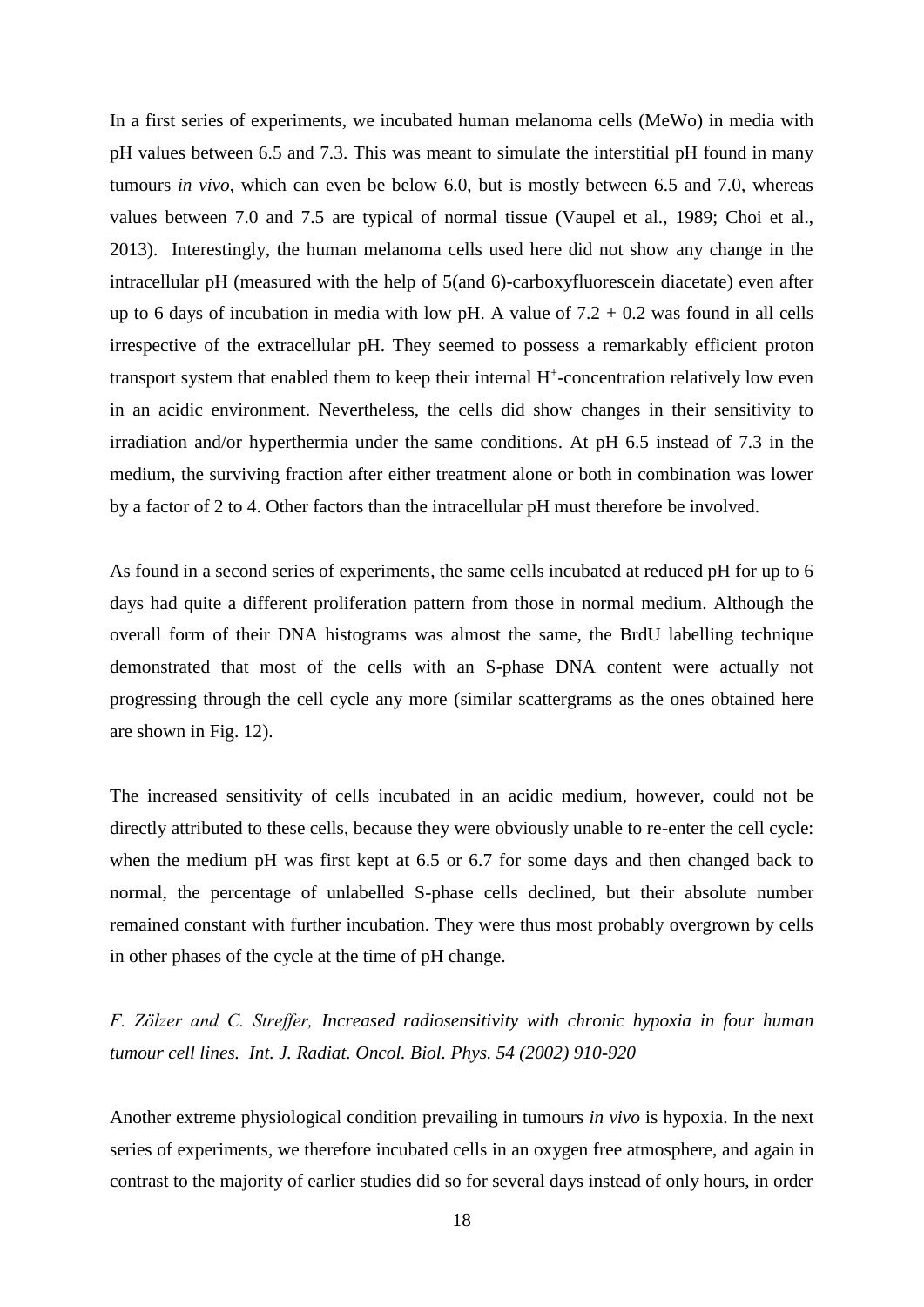In a first series of experiments, we incubated human melanoma cells (MeWo) in media with pH values between 6.5 and 7.3. This was meant to simulate the interstitial pH found in many tumours *in vivo*, which can even be below 6.0, but is mostly between 6.5 and 7.0, whereas values between 7.0 and 7.5 are typical of normal tissue (Vaupel et al., 1989; Choi et al., 2013). Interestingly, the human melanoma cells used here did not show any change in the intracellular pH (measured with the help of 5(and 6)-carboxyfluorescein diacetate) even after up to 6 days of incubation in media with low pH. A value of  $7.2 + 0.2$  was found in all cells irrespective of the extracellular pH. They seemed to possess a remarkably efficient proton transport system that enabled them to keep their internal H<sup>+</sup>-concentration relatively low even in an acidic environment. Nevertheless, the cells did show changes in their sensitivity to irradiation and/or hyperthermia under the same conditions. At pH 6.5 instead of 7.3 in the medium, the surviving fraction after either treatment alone or both in combination was lower by a factor of 2 to 4. Other factors than the intracellular pH must therefore be involved.

As found in a second series of experiments, the same cells incubated at reduced pH for up to 6 days had quite a different proliferation pattern from those in normal medium. Although the overall form of their DNA histograms was almost the same, the BrdU labelling technique demonstrated that most of the cells with an S-phase DNA content were actually not progressing through the cell cycle any more (similar scattergrams as the ones obtained here are shown in Fig. 12).

The increased sensitivity of cells incubated in an acidic medium, however, could not be directly attributed to these cells, because they were obviously unable to re-enter the cell cycle: when the medium pH was first kept at 6.5 or 6.7 for some days and then changed back to normal, the percentage of unlabelled S-phase cells declined, but their absolute number remained constant with further incubation. They were thus most probably overgrown by cells in other phases of the cycle at the time of pH change.

*F. Zölzer and C. Streffer, Increased radiosensitivity with chronic hypoxia in four human tumour cell lines. Int. J. Radiat. Oncol. Biol. Phys. 54 (2002) 910-920*

Another extreme physiological condition prevailing in tumours *in vivo* is hypoxia. In the next series of experiments, we therefore incubated cells in an oxygen free atmosphere, and again in contrast to the majority of earlier studies did so for several days instead of only hours, in order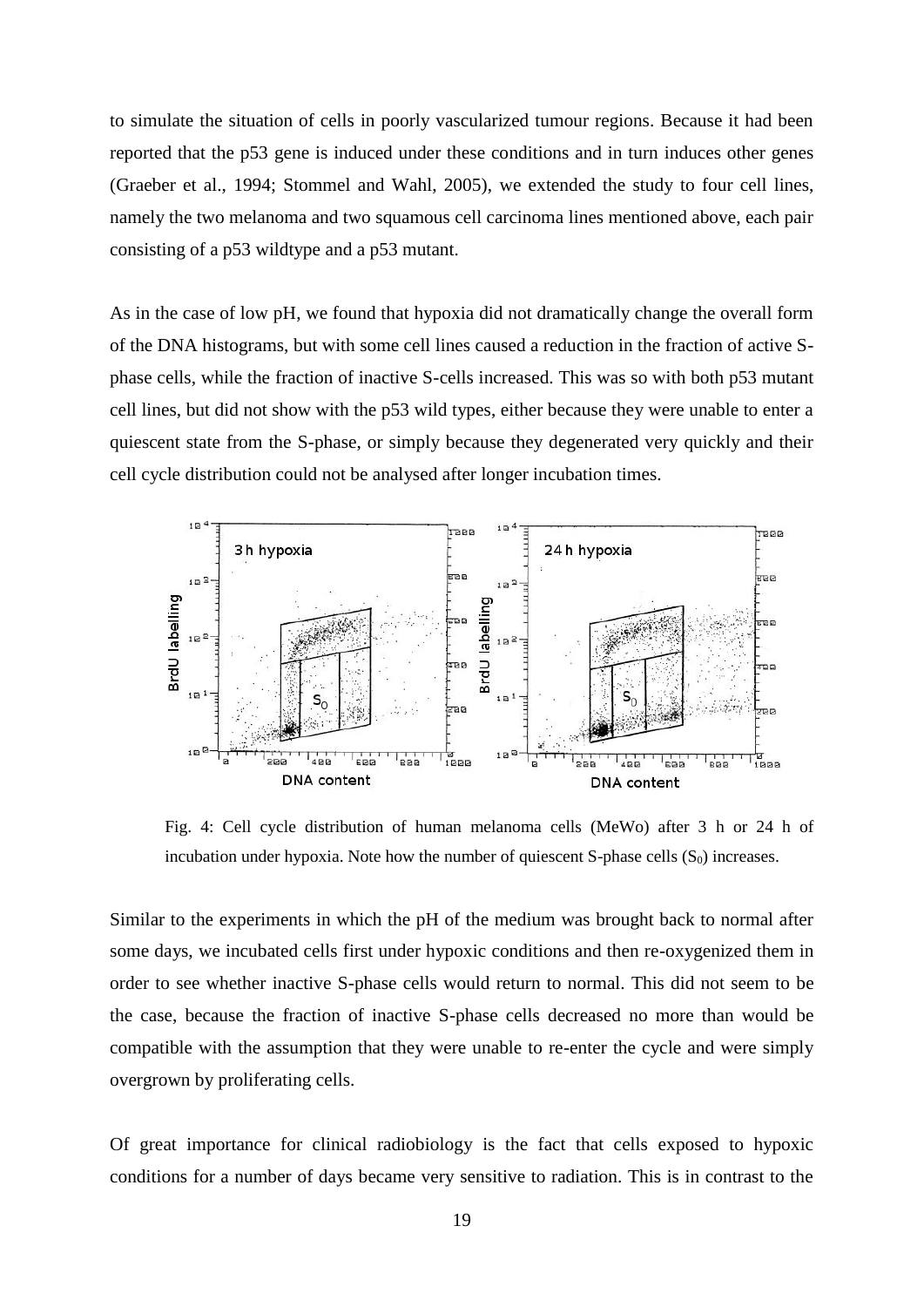to simulate the situation of cells in poorly vascularized tumour regions. Because it had been reported that the p53 gene is induced under these conditions and in turn induces other genes (Graeber et al., 1994; Stommel and Wahl, 2005), we extended the study to four cell lines, namely the two melanoma and two squamous cell carcinoma lines mentioned above, each pair consisting of a p53 wildtype and a p53 mutant.

As in the case of low pH, we found that hypoxia did not dramatically change the overall form of the DNA histograms, but with some cell lines caused a reduction in the fraction of active Sphase cells, while the fraction of inactive S-cells increased. This was so with both p53 mutant cell lines, but did not show with the p53 wild types, either because they were unable to enter a quiescent state from the S-phase, or simply because they degenerated very quickly and their cell cycle distribution could not be analysed after longer incubation times.



Fig. 4: Cell cycle distribution of human melanoma cells (MeWo) after 3 h or 24 h of incubation under hypoxia. Note how the number of quiescent  $S$ -phase cells  $(S_0)$  increases.

Similar to the experiments in which the pH of the medium was brought back to normal after some days, we incubated cells first under hypoxic conditions and then re-oxygenized them in order to see whether inactive S-phase cells would return to normal. This did not seem to be the case, because the fraction of inactive S-phase cells decreased no more than would be compatible with the assumption that they were unable to re-enter the cycle and were simply overgrown by proliferating cells.

Of great importance for clinical radiobiology is the fact that cells exposed to hypoxic conditions for a number of days became very sensitive to radiation. This is in contrast to the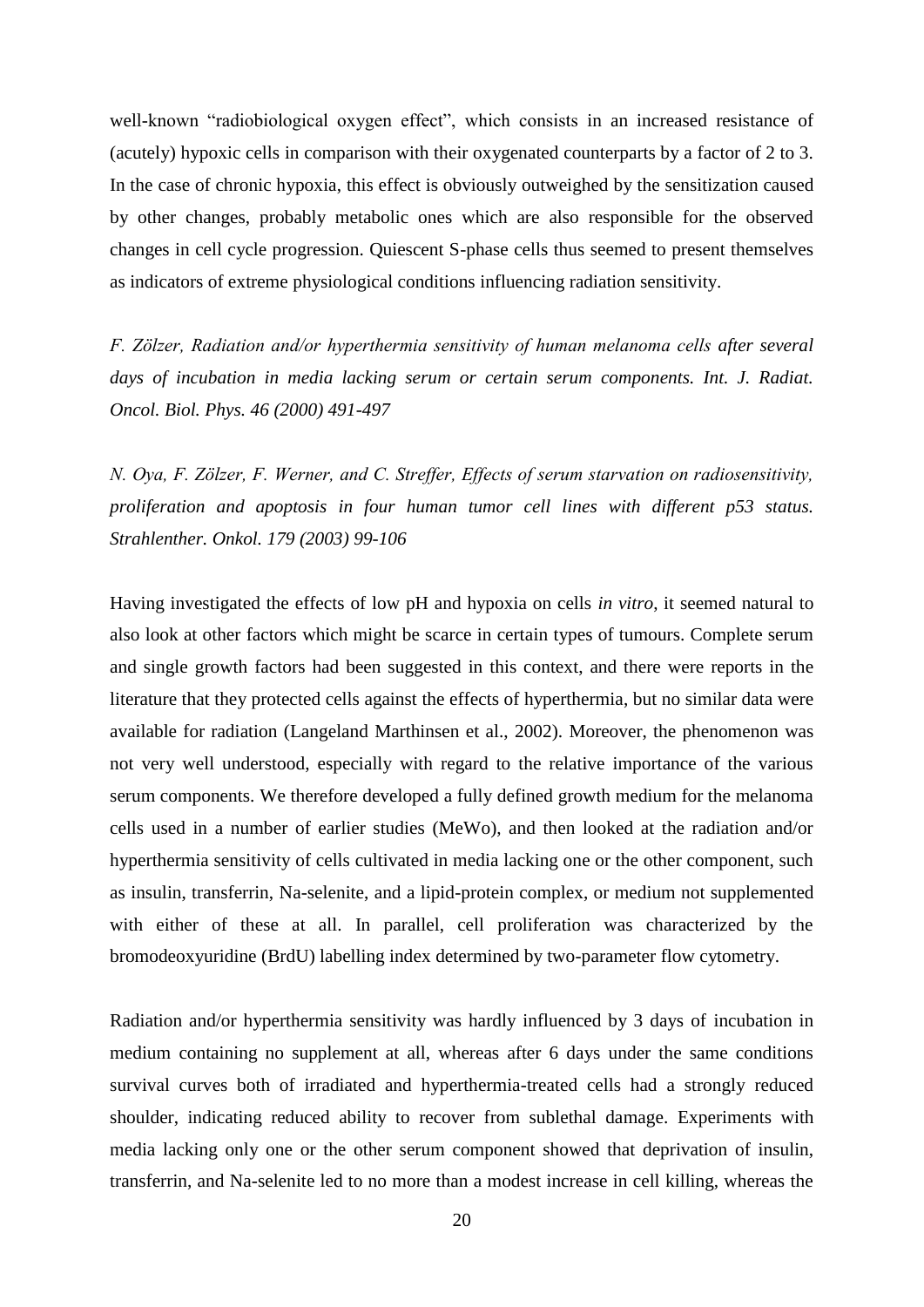well-known "radiobiological oxygen effect", which consists in an increased resistance of (acutely) hypoxic cells in comparison with their oxygenated counterparts by a factor of 2 to 3. In the case of chronic hypoxia, this effect is obviously outweighed by the sensitization caused by other changes, probably metabolic ones which are also responsible for the observed changes in cell cycle progression. Quiescent S-phase cells thus seemed to present themselves as indicators of extreme physiological conditions influencing radiation sensitivity.

*F. Zölzer, Radiation and/or hyperthermia sensitivity of human melanoma cells after several days of incubation in media lacking serum or certain serum components. Int. J. Radiat. Oncol. Biol. Phys. 46 (2000) 491-497*

*N. Oya, F. Zölzer, F. Werner, and C. Streffer, Effects of serum starvation on radiosensitivity, proliferation and apoptosis in four human tumor cell lines with different p53 status. Strahlenther. Onkol. 179 (2003) 99-106*

Having investigated the effects of low pH and hypoxia on cells *in vitro*, it seemed natural to also look at other factors which might be scarce in certain types of tumours. Complete serum and single growth factors had been suggested in this context, and there were reports in the literature that they protected cells against the effects of hyperthermia, but no similar data were available for radiation (Langeland Marthinsen et al., 2002). Moreover, the phenomenon was not very well understood, especially with regard to the relative importance of the various serum components. We therefore developed a fully defined growth medium for the melanoma cells used in a number of earlier studies (MeWo), and then looked at the radiation and/or hyperthermia sensitivity of cells cultivated in media lacking one or the other component, such as insulin, transferrin, Na-selenite, and a lipid-protein complex, or medium not supplemented with either of these at all. In parallel, cell proliferation was characterized by the bromodeoxyuridine (BrdU) labelling index determined by two-parameter flow cytometry.

Radiation and/or hyperthermia sensitivity was hardly influenced by 3 days of incubation in medium containing no supplement at all, whereas after 6 days under the same conditions survival curves both of irradiated and hyperthermia-treated cells had a strongly reduced shoulder, indicating reduced ability to recover from sublethal damage. Experiments with media lacking only one or the other serum component showed that deprivation of insulin, transferrin, and Na-selenite led to no more than a modest increase in cell killing, whereas the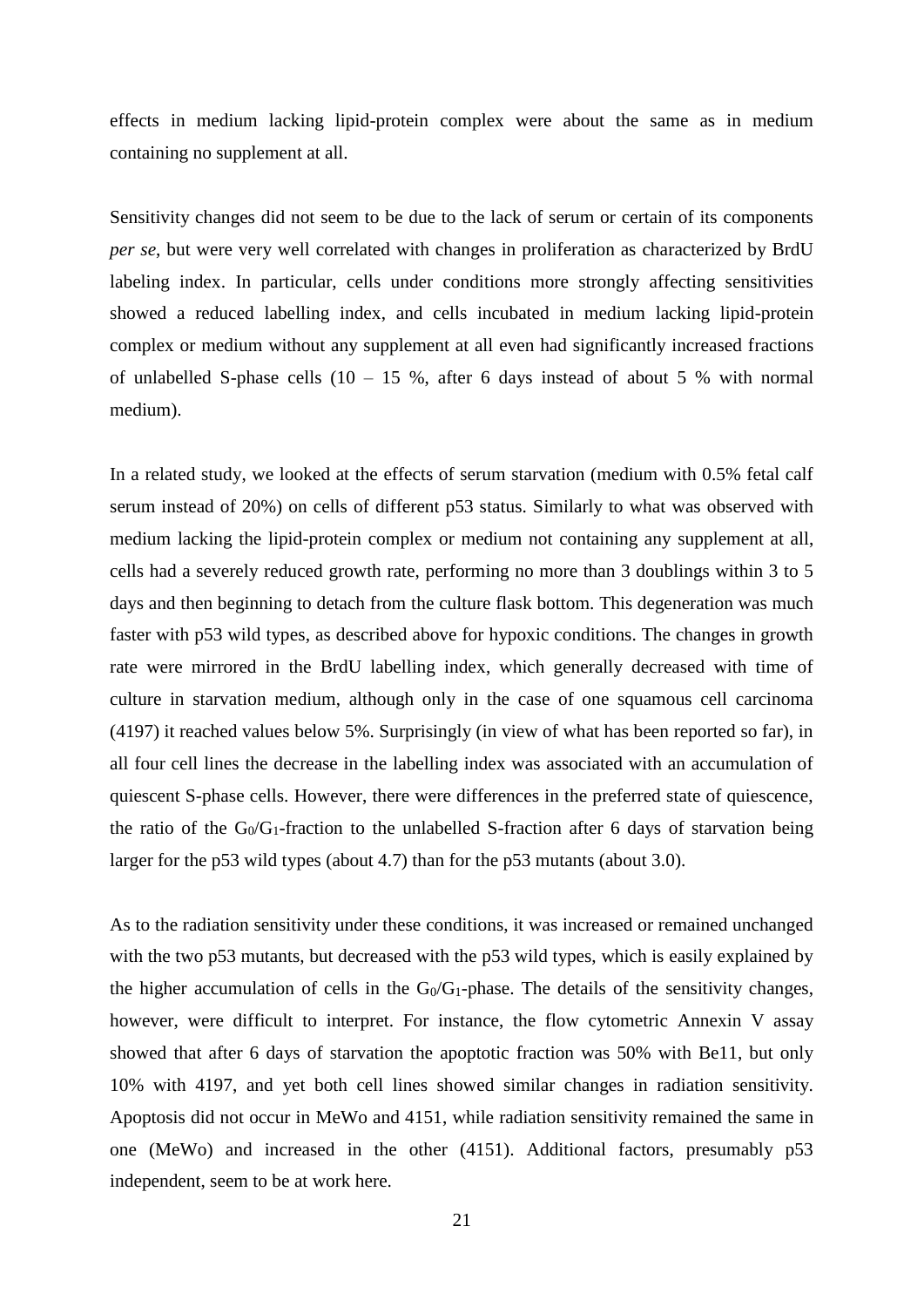effects in medium lacking lipid-protein complex were about the same as in medium containing no supplement at all.

Sensitivity changes did not seem to be due to the lack of serum or certain of its components *per se*, but were very well correlated with changes in proliferation as characterized by BrdU labeling index. In particular, cells under conditions more strongly affecting sensitivities showed a reduced labelling index, and cells incubated in medium lacking lipid-protein complex or medium without any supplement at all even had significantly increased fractions of unlabelled S-phase cells  $(10 - 15 \%)$ , after 6 days instead of about 5 % with normal medium).

In a related study, we looked at the effects of serum starvation (medium with 0.5% fetal calf serum instead of 20%) on cells of different p53 status. Similarly to what was observed with medium lacking the lipid-protein complex or medium not containing any supplement at all, cells had a severely reduced growth rate, performing no more than 3 doublings within 3 to 5 days and then beginning to detach from the culture flask bottom. This degeneration was much faster with p53 wild types, as described above for hypoxic conditions. The changes in growth rate were mirrored in the BrdU labelling index, which generally decreased with time of culture in starvation medium, although only in the case of one squamous cell carcinoma (4197) it reached values below 5%. Surprisingly (in view of what has been reported so far), in all four cell lines the decrease in the labelling index was associated with an accumulation of quiescent S-phase cells. However, there were differences in the preferred state of quiescence, the ratio of the  $G_0/G_1$ -fraction to the unlabelled S-fraction after 6 days of starvation being larger for the p53 wild types (about 4.7) than for the p53 mutants (about 3.0).

As to the radiation sensitivity under these conditions, it was increased or remained unchanged with the two p53 mutants, but decreased with the p53 wild types, which is easily explained by the higher accumulation of cells in the  $G_0/G_1$ -phase. The details of the sensitivity changes, however, were difficult to interpret. For instance, the flow cytometric Annexin V assay showed that after 6 days of starvation the apoptotic fraction was 50% with Be11, but only 10% with 4197, and yet both cell lines showed similar changes in radiation sensitivity. Apoptosis did not occur in MeWo and 4151, while radiation sensitivity remained the same in one (MeWo) and increased in the other (4151). Additional factors, presumably p53 independent, seem to be at work here.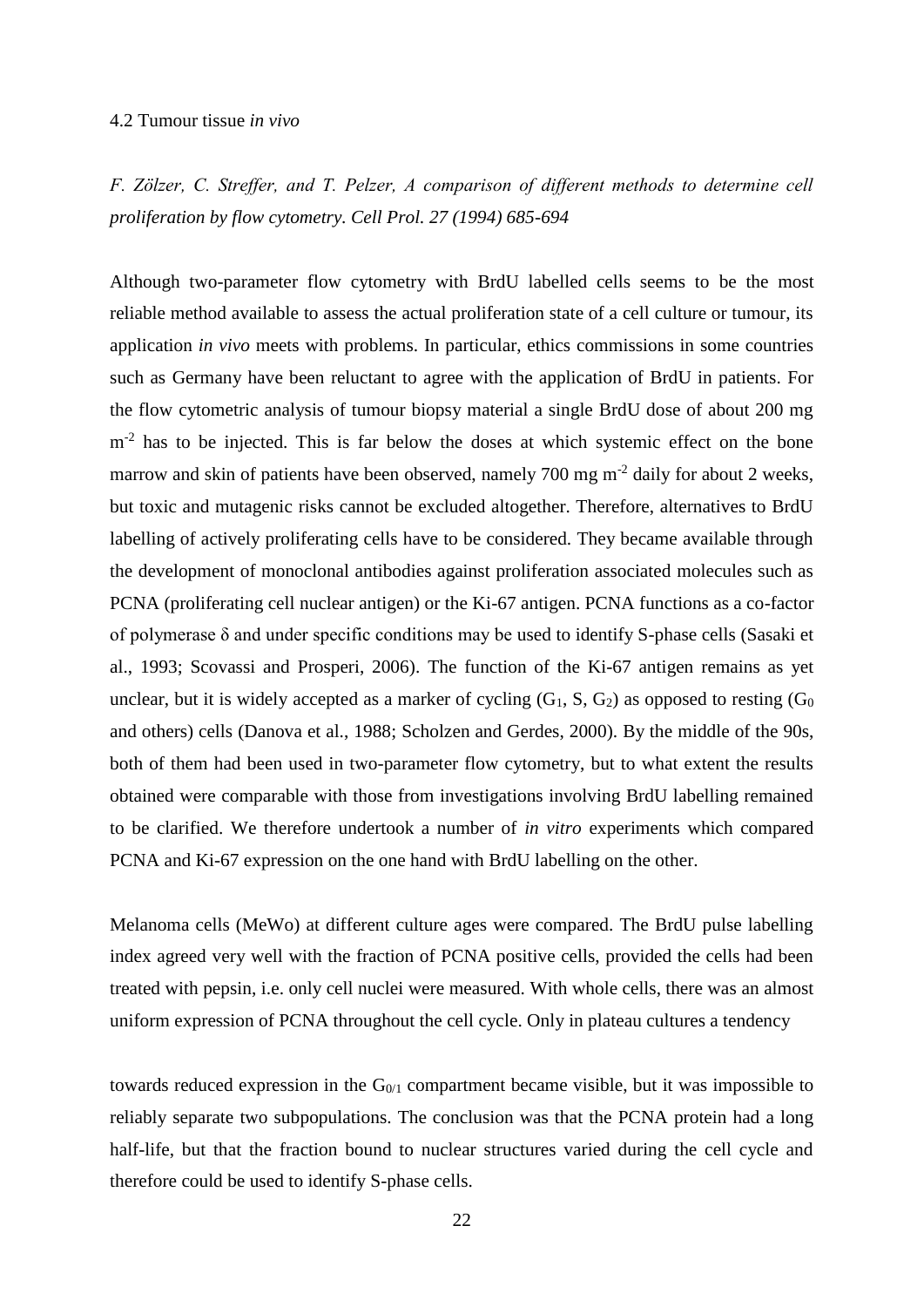### 4.2 Tumour tissue *in vivo*

*F. Zölzer, C. Streffer, and T. Pelzer, A comparison of different methods to determine cell proliferation by flow cytometry. Cell Prol. 27 (1994) 685-694*

Although two-parameter flow cytometry with BrdU labelled cells seems to be the most reliable method available to assess the actual proliferation state of a cell culture or tumour, its application *in vivo* meets with problems. In particular, ethics commissions in some countries such as Germany have been reluctant to agree with the application of BrdU in patients. For the flow cytometric analysis of tumour biopsy material a single BrdU dose of about 200 mg m<sup>-2</sup> has to be injected. This is far below the doses at which systemic effect on the bone marrow and skin of patients have been observed, namely 700 mg m<sup>-2</sup> daily for about 2 weeks, but toxic and mutagenic risks cannot be excluded altogether. Therefore, alternatives to BrdU labelling of actively proliferating cells have to be considered. They became available through the development of monoclonal antibodies against proliferation associated molecules such as PCNA (proliferating cell nuclear antigen) or the Ki-67 antigen. PCNA functions as a co-factor of polymerase δ and under specific conditions may be used to identify S-phase cells (Sasaki et al., 1993; Scovassi and Prosperi, 2006). The function of the Ki-67 antigen remains as yet unclear, but it is widely accepted as a marker of cycling  $(G_1, S, G_2)$  as opposed to resting  $(G_0)$ and others) cells (Danova et al., 1988; Scholzen and Gerdes, 2000). By the middle of the 90s, both of them had been used in two-parameter flow cytometry, but to what extent the results obtained were comparable with those from investigations involving BrdU labelling remained to be clarified. We therefore undertook a number of *in vitro* experiments which compared PCNA and Ki-67 expression on the one hand with BrdU labelling on the other.

Melanoma cells (MeWo) at different culture ages were compared. The BrdU pulse labelling index agreed very well with the fraction of PCNA positive cells, provided the cells had been treated with pepsin, i.e. only cell nuclei were measured. With whole cells, there was an almost uniform expression of PCNA throughout the cell cycle. Only in plateau cultures a tendency

towards reduced expression in the  $G<sub>0/1</sub>$  compartment became visible, but it was impossible to reliably separate two subpopulations. The conclusion was that the PCNA protein had a long half-life, but that the fraction bound to nuclear structures varied during the cell cycle and therefore could be used to identify S-phase cells.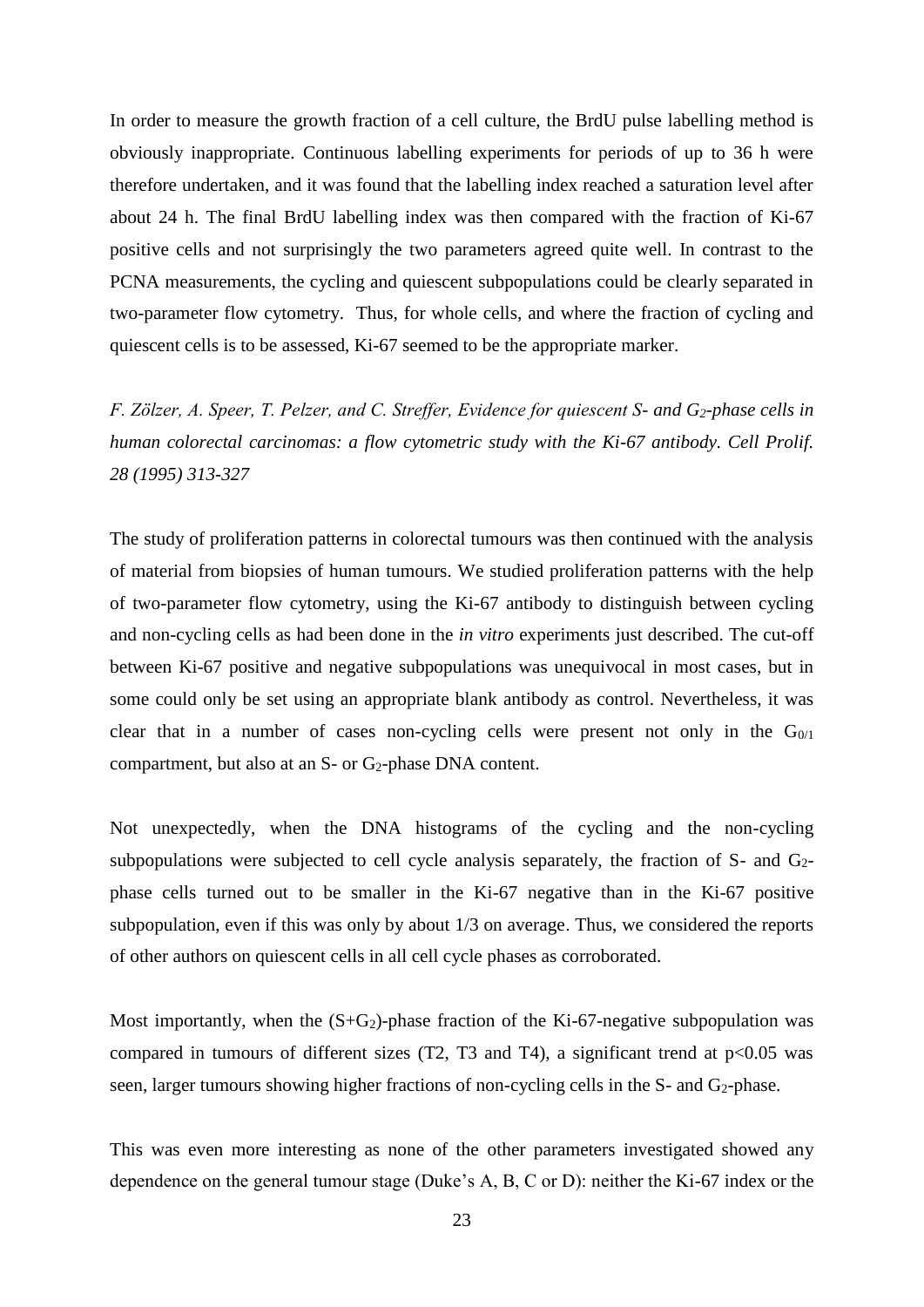In order to measure the growth fraction of a cell culture, the BrdU pulse labelling method is obviously inappropriate. Continuous labelling experiments for periods of up to 36 h were therefore undertaken, and it was found that the labelling index reached a saturation level after about 24 h. The final BrdU labelling index was then compared with the fraction of Ki-67 positive cells and not surprisingly the two parameters agreed quite well. In contrast to the PCNA measurements, the cycling and quiescent subpopulations could be clearly separated in two-parameter flow cytometry. Thus, for whole cells, and where the fraction of cycling and quiescent cells is to be assessed, Ki-67 seemed to be the appropriate marker.

*F. Zölzer, A. Speer, T. Pelzer, and C. Streffer, Evidence for quiescent S- and G2-phase cells in human colorectal carcinomas: a flow cytometric study with the Ki-67 antibody. Cell Prolif. 28 (1995) 313-327*

The study of proliferation patterns in colorectal tumours was then continued with the analysis of material from biopsies of human tumours. We studied proliferation patterns with the help of two-parameter flow cytometry, using the Ki-67 antibody to distinguish between cycling and non-cycling cells as had been done in the *in vitro* experiments just described. The cut-off between Ki-67 positive and negative subpopulations was unequivocal in most cases, but in some could only be set using an appropriate blank antibody as control. Nevertheless, it was clear that in a number of cases non-cycling cells were present not only in the  $G<sub>0/1</sub>$ compartment, but also at an  $S$ - or  $G_2$ -phase DNA content.

Not unexpectedly, when the DNA histograms of the cycling and the non-cycling subpopulations were subjected to cell cycle analysis separately, the fraction of  $S-$  and  $G<sub>2</sub>$ phase cells turned out to be smaller in the Ki-67 negative than in the Ki-67 positive subpopulation, even if this was only by about 1/3 on average. Thus, we considered the reports of other authors on quiescent cells in all cell cycle phases as corroborated.

Most importantly, when the  $(S+G_2)$ -phase fraction of the Ki-67-negative subpopulation was compared in tumours of different sizes (T2, T3 and T4), a significant trend at  $p<0.05$  was seen, larger tumours showing higher fractions of non-cycling cells in the S- and G<sub>2</sub>-phase.

This was even more interesting as none of the other parameters investigated showed any dependence on the general tumour stage (Duke's A, B, C or D): neither the Ki-67 index or the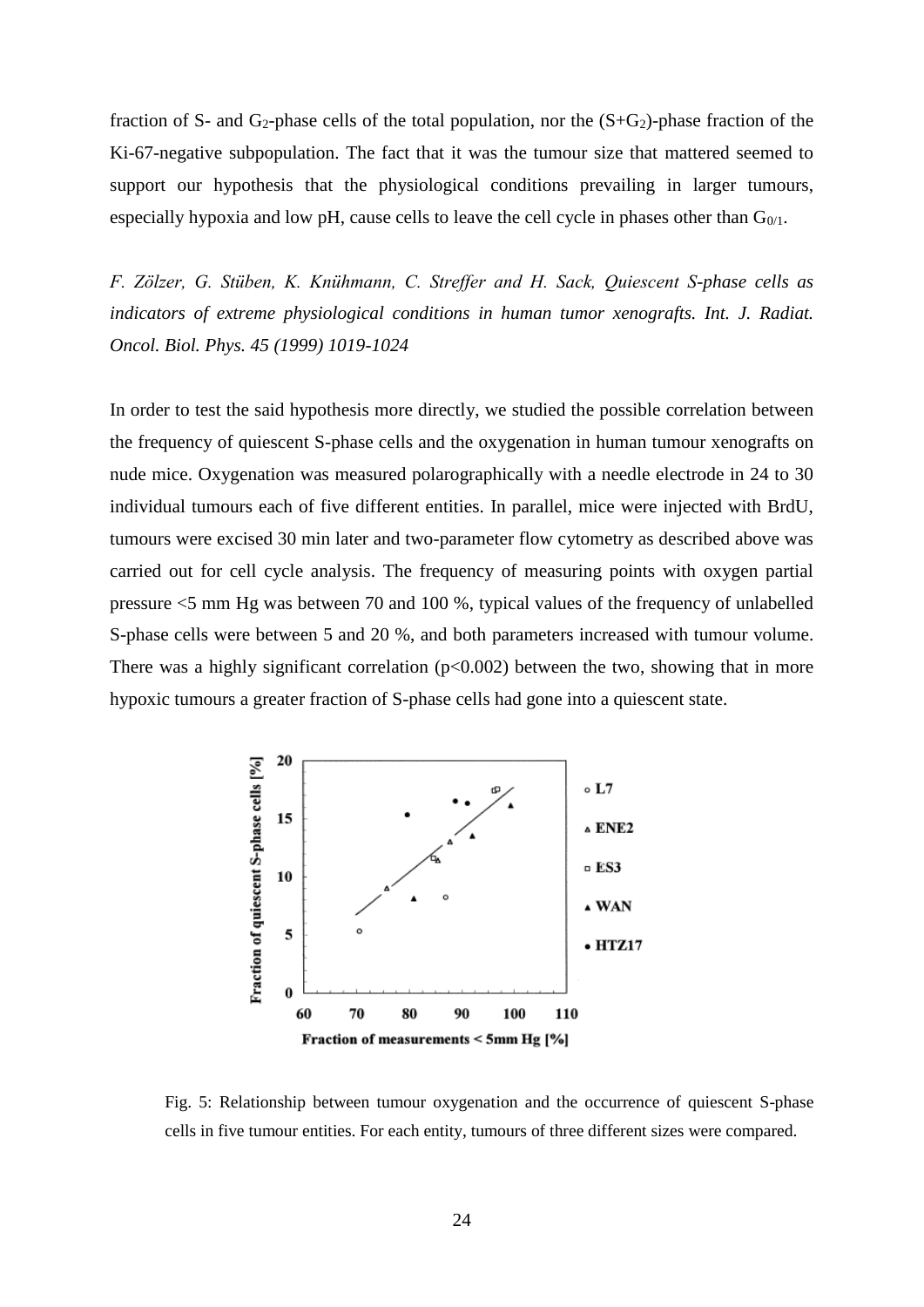fraction of S- and G<sub>2</sub>-phase cells of the total population, nor the  $(S+G_2)$ -phase fraction of the Ki-67-negative subpopulation. The fact that it was the tumour size that mattered seemed to support our hypothesis that the physiological conditions prevailing in larger tumours, especially hypoxia and low pH, cause cells to leave the cell cycle in phases other than  $G_{0/1}$ .

*F. Zölzer, G. Stüben, K. Knühmann, C. Streffer and H. Sack, Quiescent S-phase cells as indicators of extreme physiological conditions in human tumor xenografts. Int. J. Radiat. Oncol. Biol. Phys. 45 (1999) 1019-1024*

In order to test the said hypothesis more directly, we studied the possible correlation between the frequency of quiescent S-phase cells and the oxygenation in human tumour xenografts on nude mice. Oxygenation was measured polarographically with a needle electrode in 24 to 30 individual tumours each of five different entities. In parallel, mice were injected with BrdU, tumours were excised 30 min later and two-parameter flow cytometry as described above was carried out for cell cycle analysis. The frequency of measuring points with oxygen partial pressure <5 mm Hg was between 70 and 100 %, typical values of the frequency of unlabelled S-phase cells were between 5 and 20 %, and both parameters increased with tumour volume. There was a highly significant correlation  $(p<0.002)$  between the two, showing that in more hypoxic tumours a greater fraction of S-phase cells had gone into a quiescent state.



Fig. 5: Relationship between tumour oxygenation and the occurrence of quiescent S-phase cells in five tumour entities. For each entity, tumours of three different sizes were compared.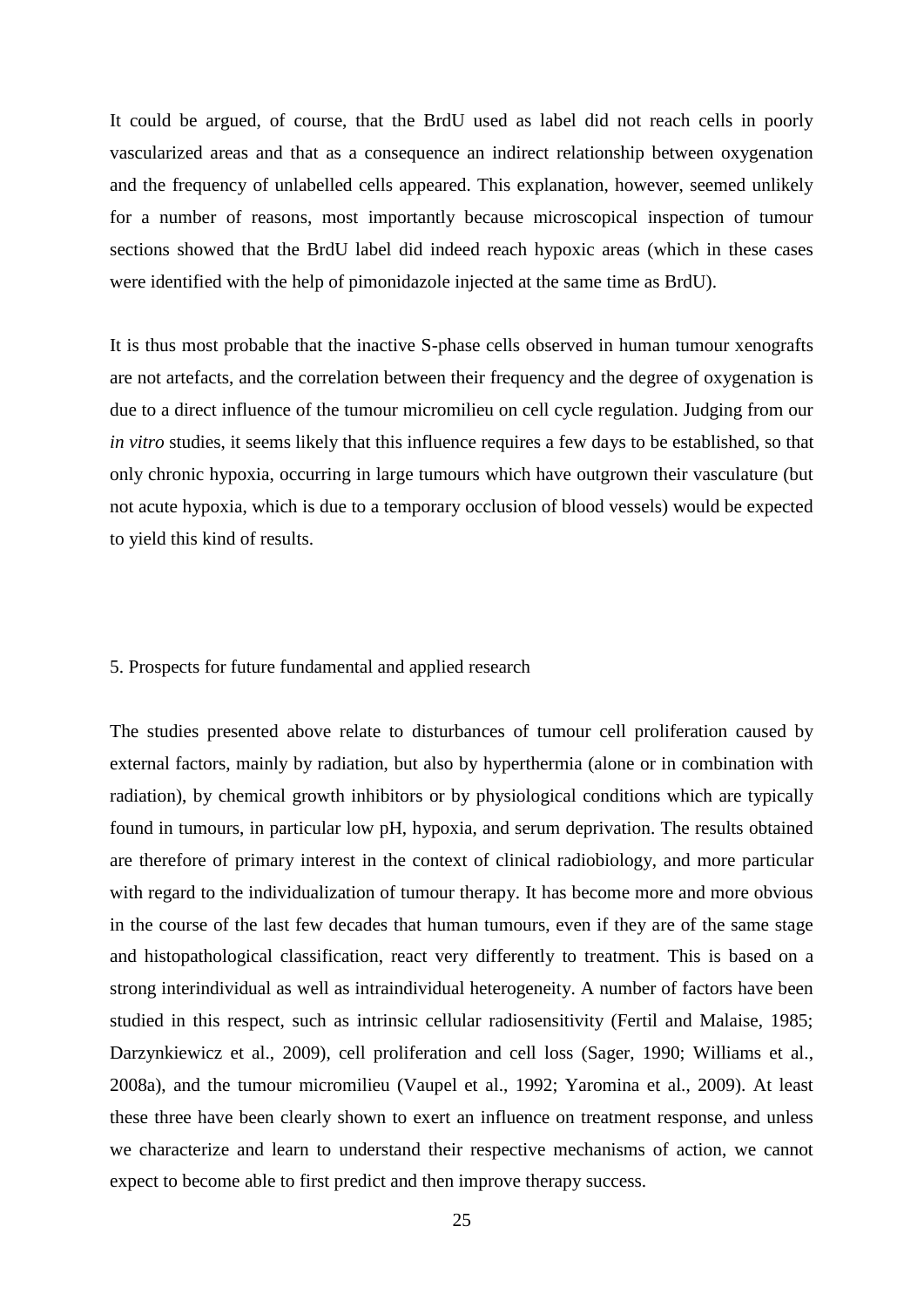It could be argued, of course, that the BrdU used as label did not reach cells in poorly vascularized areas and that as a consequence an indirect relationship between oxygenation and the frequency of unlabelled cells appeared. This explanation, however, seemed unlikely for a number of reasons, most importantly because microscopical inspection of tumour sections showed that the BrdU label did indeed reach hypoxic areas (which in these cases were identified with the help of pimonidazole injected at the same time as BrdU).

It is thus most probable that the inactive S-phase cells observed in human tumour xenografts are not artefacts, and the correlation between their frequency and the degree of oxygenation is due to a direct influence of the tumour micromilieu on cell cycle regulation. Judging from our *in vitro* studies, it seems likely that this influence requires a few days to be established, so that only chronic hypoxia, occurring in large tumours which have outgrown their vasculature (but not acute hypoxia, which is due to a temporary occlusion of blood vessels) would be expected to yield this kind of results.

### 5. Prospects for future fundamental and applied research

The studies presented above relate to disturbances of tumour cell proliferation caused by external factors, mainly by radiation, but also by hyperthermia (alone or in combination with radiation), by chemical growth inhibitors or by physiological conditions which are typically found in tumours, in particular low pH, hypoxia, and serum deprivation. The results obtained are therefore of primary interest in the context of clinical radiobiology, and more particular with regard to the individualization of tumour therapy. It has become more and more obvious in the course of the last few decades that human tumours, even if they are of the same stage and histopathological classification, react very differently to treatment. This is based on a strong interindividual as well as intraindividual heterogeneity. A number of factors have been studied in this respect, such as intrinsic cellular radiosensitivity (Fertil and Malaise, 1985; Darzynkiewicz et al., 2009), cell proliferation and cell loss (Sager, 1990; Williams et al., 2008a), and the tumour micromilieu (Vaupel et al., 1992; Yaromina et al., 2009). At least these three have been clearly shown to exert an influence on treatment response, and unless we characterize and learn to understand their respective mechanisms of action, we cannot expect to become able to first predict and then improve therapy success.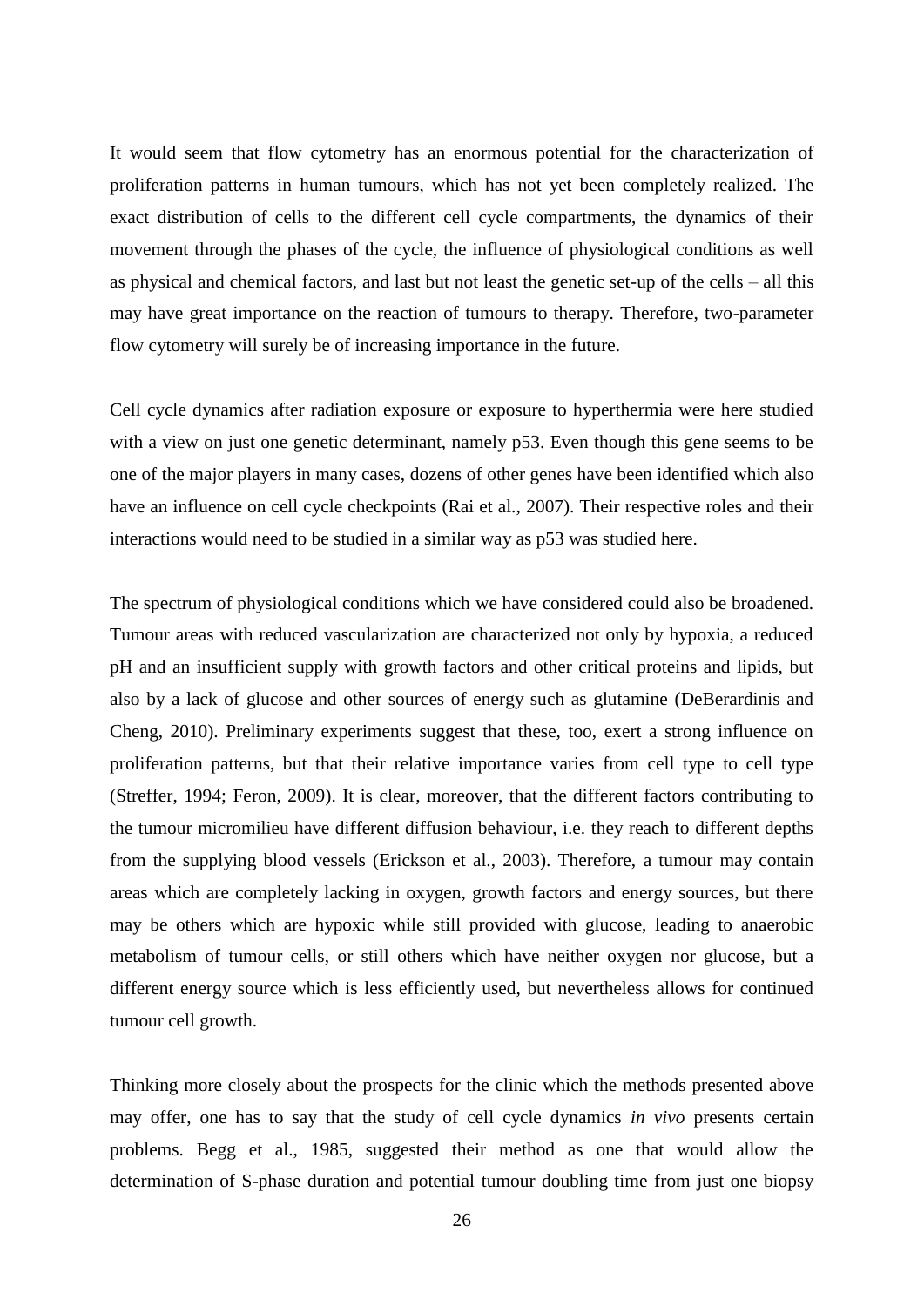It would seem that flow cytometry has an enormous potential for the characterization of proliferation patterns in human tumours, which has not yet been completely realized. The exact distribution of cells to the different cell cycle compartments, the dynamics of their movement through the phases of the cycle, the influence of physiological conditions as well as physical and chemical factors, and last but not least the genetic set-up of the cells – all this may have great importance on the reaction of tumours to therapy. Therefore, two-parameter flow cytometry will surely be of increasing importance in the future.

Cell cycle dynamics after radiation exposure or exposure to hyperthermia were here studied with a view on just one genetic determinant, namely p53. Even though this gene seems to be one of the major players in many cases, dozens of other genes have been identified which also have an influence on cell cycle checkpoints (Rai et al., 2007). Their respective roles and their interactions would need to be studied in a similar way as p53 was studied here.

The spectrum of physiological conditions which we have considered could also be broadened. Tumour areas with reduced vascularization are characterized not only by hypoxia, a reduced pH and an insufficient supply with growth factors and other critical proteins and lipids, but also by a lack of glucose and other sources of energy such as glutamine (DeBerardinis and Cheng, 2010). Preliminary experiments suggest that these, too, exert a strong influence on proliferation patterns, but that their relative importance varies from cell type to cell type (Streffer, 1994; Feron, 2009). It is clear, moreover, that the different factors contributing to the tumour micromilieu have different diffusion behaviour, i.e. they reach to different depths from the supplying blood vessels (Erickson et al., 2003). Therefore, a tumour may contain areas which are completely lacking in oxygen, growth factors and energy sources, but there may be others which are hypoxic while still provided with glucose, leading to anaerobic metabolism of tumour cells, or still others which have neither oxygen nor glucose, but a different energy source which is less efficiently used, but nevertheless allows for continued tumour cell growth.

Thinking more closely about the prospects for the clinic which the methods presented above may offer, one has to say that the study of cell cycle dynamics *in vivo* presents certain problems. Begg et al., 1985, suggested their method as one that would allow the determination of S-phase duration and potential tumour doubling time from just one biopsy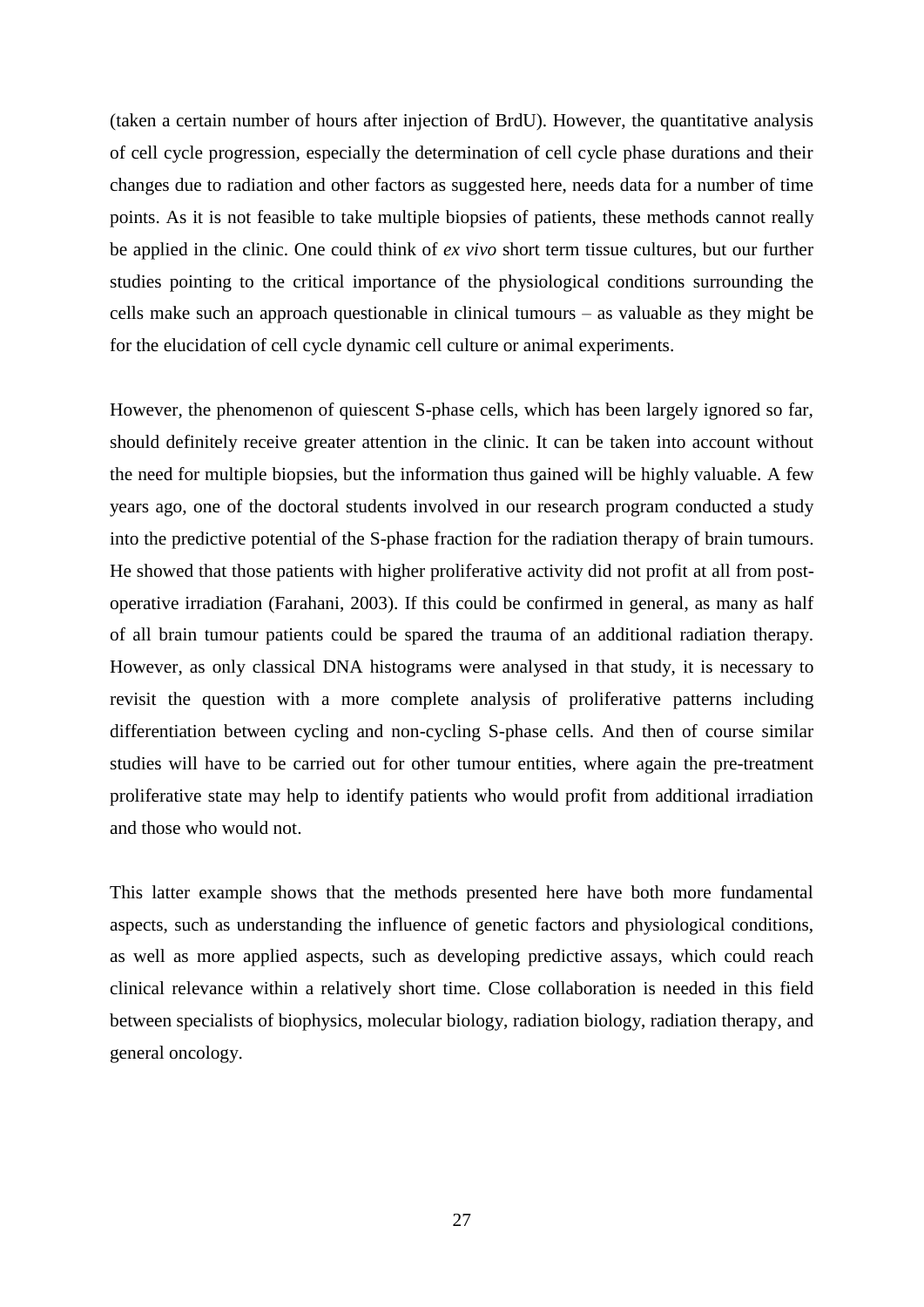(taken a certain number of hours after injection of BrdU). However, the quantitative analysis of cell cycle progression, especially the determination of cell cycle phase durations and their changes due to radiation and other factors as suggested here, needs data for a number of time points. As it is not feasible to take multiple biopsies of patients, these methods cannot really be applied in the clinic. One could think of *ex vivo* short term tissue cultures, but our further studies pointing to the critical importance of the physiological conditions surrounding the cells make such an approach questionable in clinical tumours – as valuable as they might be for the elucidation of cell cycle dynamic cell culture or animal experiments.

However, the phenomenon of quiescent S-phase cells, which has been largely ignored so far, should definitely receive greater attention in the clinic. It can be taken into account without the need for multiple biopsies, but the information thus gained will be highly valuable. A few years ago, one of the doctoral students involved in our research program conducted a study into the predictive potential of the S-phase fraction for the radiation therapy of brain tumours. He showed that those patients with higher proliferative activity did not profit at all from postoperative irradiation (Farahani, 2003). If this could be confirmed in general, as many as half of all brain tumour patients could be spared the trauma of an additional radiation therapy. However, as only classical DNA histograms were analysed in that study, it is necessary to revisit the question with a more complete analysis of proliferative patterns including differentiation between cycling and non-cycling S-phase cells. And then of course similar studies will have to be carried out for other tumour entities, where again the pre-treatment proliferative state may help to identify patients who would profit from additional irradiation and those who would not.

This latter example shows that the methods presented here have both more fundamental aspects, such as understanding the influence of genetic factors and physiological conditions, as well as more applied aspects, such as developing predictive assays, which could reach clinical relevance within a relatively short time. Close collaboration is needed in this field between specialists of biophysics, molecular biology, radiation biology, radiation therapy, and general oncology.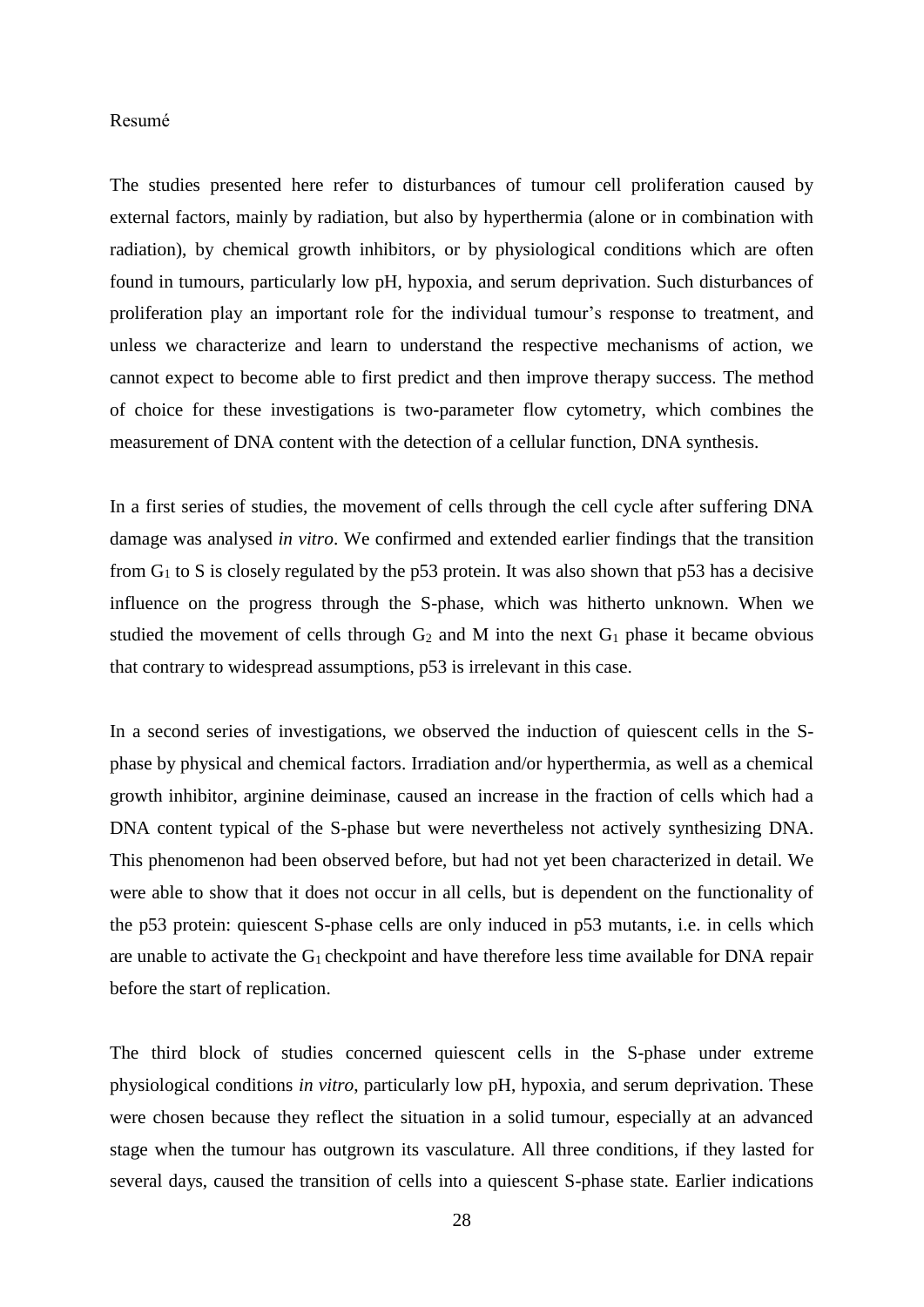### Resumé

The studies presented here refer to disturbances of tumour cell proliferation caused by external factors, mainly by radiation, but also by hyperthermia (alone or in combination with radiation), by chemical growth inhibitors, or by physiological conditions which are often found in tumours, particularly low pH, hypoxia, and serum deprivation. Such disturbances of proliferation play an important role for the individual tumour's response to treatment, and unless we characterize and learn to understand the respective mechanisms of action, we cannot expect to become able to first predict and then improve therapy success. The method of choice for these investigations is two-parameter flow cytometry, which combines the measurement of DNA content with the detection of a cellular function, DNA synthesis.

In a first series of studies, the movement of cells through the cell cycle after suffering DNA damage was analysed *in vitro*. We confirmed and extended earlier findings that the transition from  $G_1$  to S is closely regulated by the p53 protein. It was also shown that p53 has a decisive influence on the progress through the S-phase, which was hitherto unknown. When we studied the movement of cells through  $G_2$  and M into the next  $G_1$  phase it became obvious that contrary to widespread assumptions, p53 is irrelevant in this case.

In a second series of investigations, we observed the induction of quiescent cells in the Sphase by physical and chemical factors. Irradiation and/or hyperthermia, as well as a chemical growth inhibitor, arginine deiminase, caused an increase in the fraction of cells which had a DNA content typical of the S-phase but were nevertheless not actively synthesizing DNA. This phenomenon had been observed before, but had not yet been characterized in detail. We were able to show that it does not occur in all cells, but is dependent on the functionality of the p53 protein: quiescent S-phase cells are only induced in p53 mutants, i.e. in cells which are unable to activate the G<sup>1</sup> checkpoint and have therefore less time available for DNA repair before the start of replication.

The third block of studies concerned quiescent cells in the S-phase under extreme physiological conditions *in vitro*, particularly low pH, hypoxia, and serum deprivation. These were chosen because they reflect the situation in a solid tumour, especially at an advanced stage when the tumour has outgrown its vasculature. All three conditions, if they lasted for several days, caused the transition of cells into a quiescent S-phase state. Earlier indications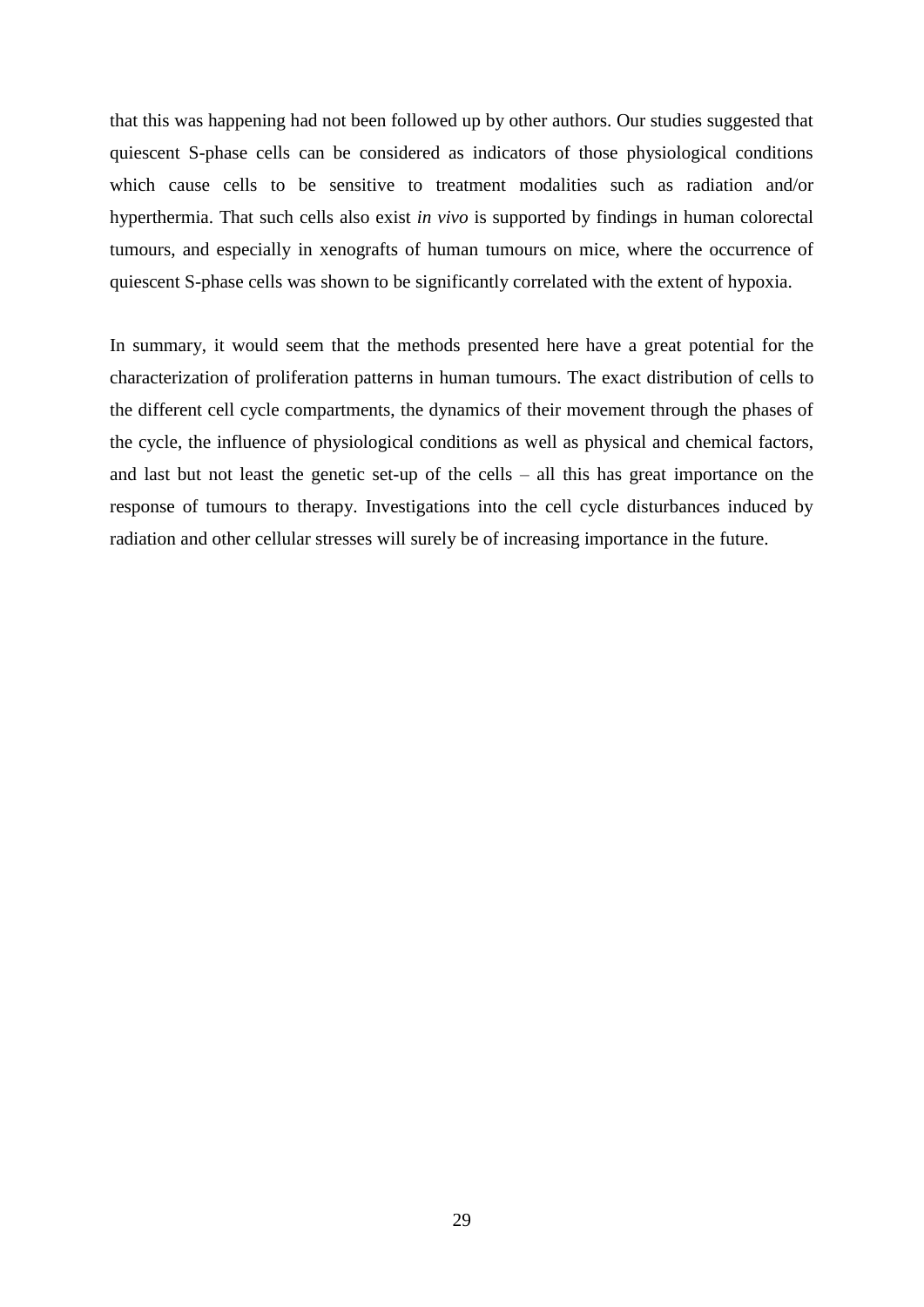that this was happening had not been followed up by other authors. Our studies suggested that quiescent S-phase cells can be considered as indicators of those physiological conditions which cause cells to be sensitive to treatment modalities such as radiation and/or hyperthermia. That such cells also exist *in vivo* is supported by findings in human colorectal tumours, and especially in xenografts of human tumours on mice, where the occurrence of quiescent S-phase cells was shown to be significantly correlated with the extent of hypoxia.

In summary, it would seem that the methods presented here have a great potential for the characterization of proliferation patterns in human tumours. The exact distribution of cells to the different cell cycle compartments, the dynamics of their movement through the phases of the cycle, the influence of physiological conditions as well as physical and chemical factors, and last but not least the genetic set-up of the cells – all this has great importance on the response of tumours to therapy. Investigations into the cell cycle disturbances induced by radiation and other cellular stresses will surely be of increasing importance in the future.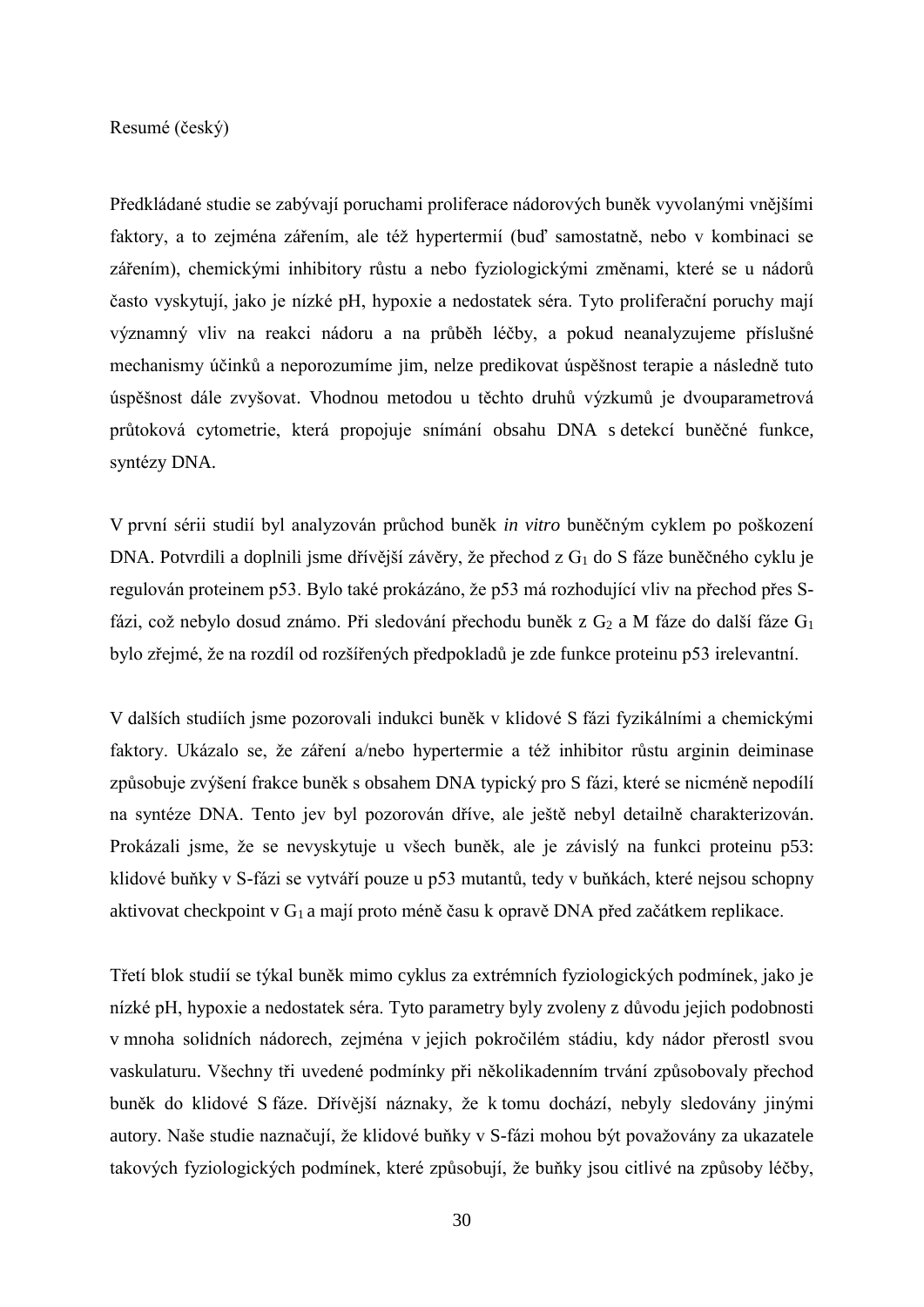Resumé (český)

Předkládané studie se zabývají poruchami proliferace nádorových buněk vyvolanými vnějšími faktory, a to zejména zářením, ale též hypertermií (buď samostatně, nebo v kombinaci se zářením), chemickými inhibitory růstu a nebo fyziologickými změnami, které se u nádorů často vyskytují, jako je nízké pH, hypoxie a nedostatek séra. Tyto proliferační poruchy mají významný vliv na reakci nádoru a na průběh léčby, a pokud neanalyzujeme příslušné mechanismy účinků a neporozumíme jim, nelze predikovat úspěšnost terapie a následně tuto úspěšnost dále zvyšovat. Vhodnou metodou u těchto druhů výzkumů je dvouparametrová průtoková cytometrie, která propojuje snímání obsahu DNA s detekcí buněčné funkce, syntézy DNA.

V první sérii studií byl analyzován průchod buněk *in vitro* buněčným cyklem po poškození DNA. Potvrdili a doplnili jsme dřívější závěry, že přechod z G<sup>1</sup> do S fáze buněčného cyklu je regulován proteinem p53. Bylo také prokázáno, že p53 má rozhodující vliv na přechod přes Sfázi, což nebylo dosud známo. Při sledování přechodu buněk z  $G_2$  a M fáze do další fáze  $G_1$ bylo zřejmé, že na rozdíl od rozšířených předpokladů je zde funkce proteinu p53 irelevantní.

V dalších studiích jsme pozorovali indukci buněk v klidové S fázi fyzikálními a chemickými faktory. Ukázalo se, že záření a/nebo hypertermie a též inhibitor růstu arginin deiminase způsobuje zvýšení frakce buněk s obsahem DNA typický pro S fázi, které se nicméně nepodílí na syntéze DNA. Tento jev byl pozorován dříve, ale ještě nebyl detailně charakterizován. Prokázali jsme, že se nevyskytuje u všech buněk, ale je závislý na funkci proteinu p53: klidové buňky v S-fázi se vytváří pouze u p53 mutantů, tedy v buňkách, které nejsou schopny aktivovat checkpoint v G<sub>1</sub> a mají proto méně času k opravě DNA před začátkem replikace.

Třetí blok studií se týkal buněk mimo cyklus za extrémních fyziologických podmínek, jako je nízké pH, hypoxie a nedostatek séra. Tyto parametry byly zvoleny z důvodu jejich podobnosti v mnoha solidních nádorech, zejména v jejich pokročilém stádiu, kdy nádor přerostl svou vaskulaturu. Všechny tři uvedené podmínky při několikadenním trvání způsobovaly přechod buněk do klidové S fáze. Dřívější náznaky, že k tomu dochází, nebyly sledovány jinými autory. Naše studie naznačují, že klidové buňky v S-fázi mohou být považovány za ukazatele takových fyziologických podmínek, které způsobují, že buňky jsou citlivé na způsoby léčby,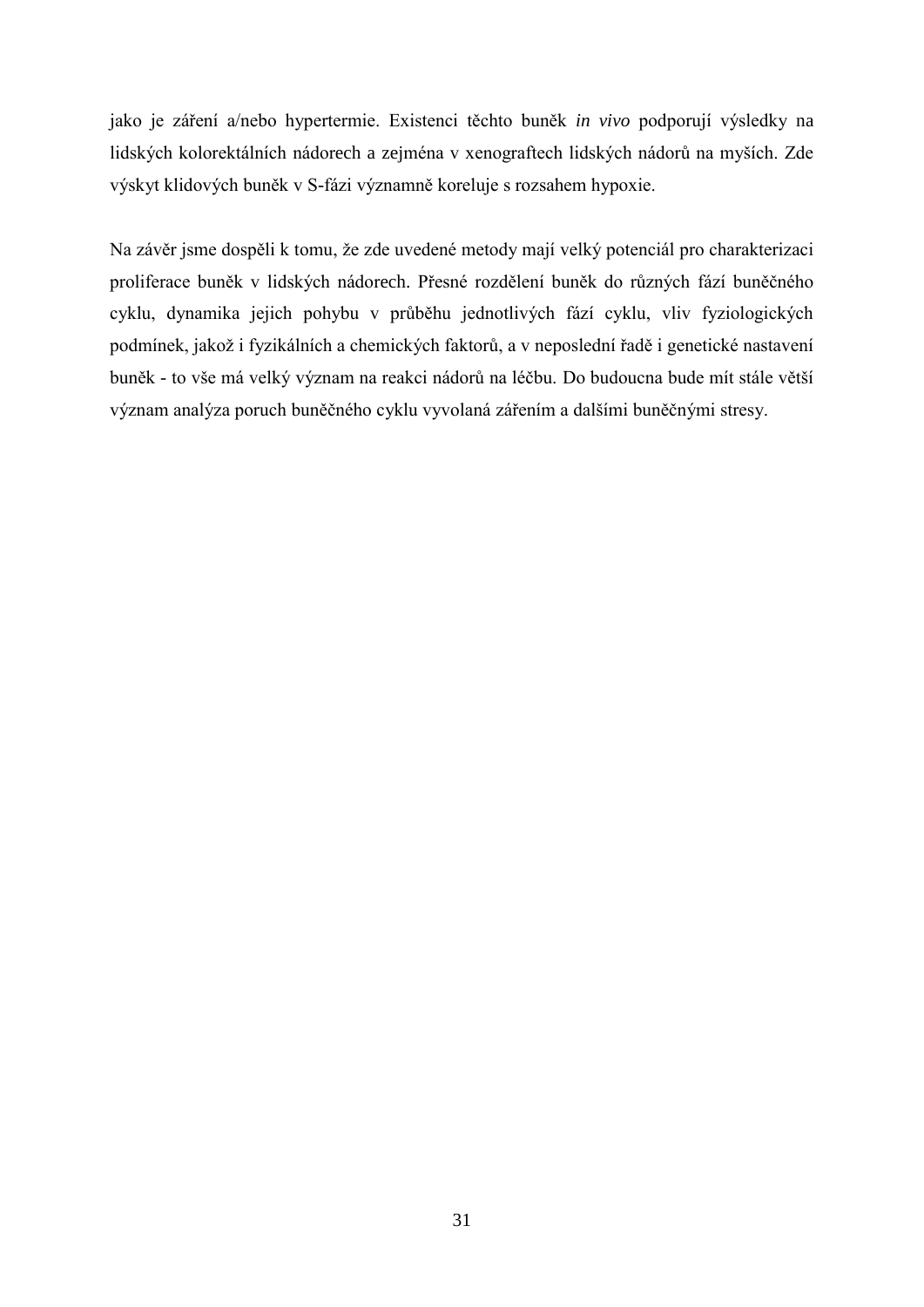jako je záření a/nebo hypertermie. Existenci těchto buněk *in vivo* podporují výsledky na lidských kolorektálních nádorech a zejména v xenograftech lidských nádorů na myších. Zde výskyt klidových buněk v S-fázi významně koreluje s rozsahem hypoxie.

Na závěr jsme dospěli k tomu, že zde uvedené metody mají velký potenciál pro charakterizaci proliferace buněk v lidských nádorech. Přesné rozdělení buněk do různých fází buněčného cyklu, dynamika jejich pohybu v průběhu jednotlivých fází cyklu, vliv fyziologických podmínek, jakož i fyzikálních a chemických faktorů, a v neposlední řadě i genetické nastavení buněk - to vše má velký význam na reakci nádorů na léčbu. Do budoucna bude mít stále větší význam analýza poruch buněčného cyklu vyvolaná zářením a dalšími buněčnými stresy.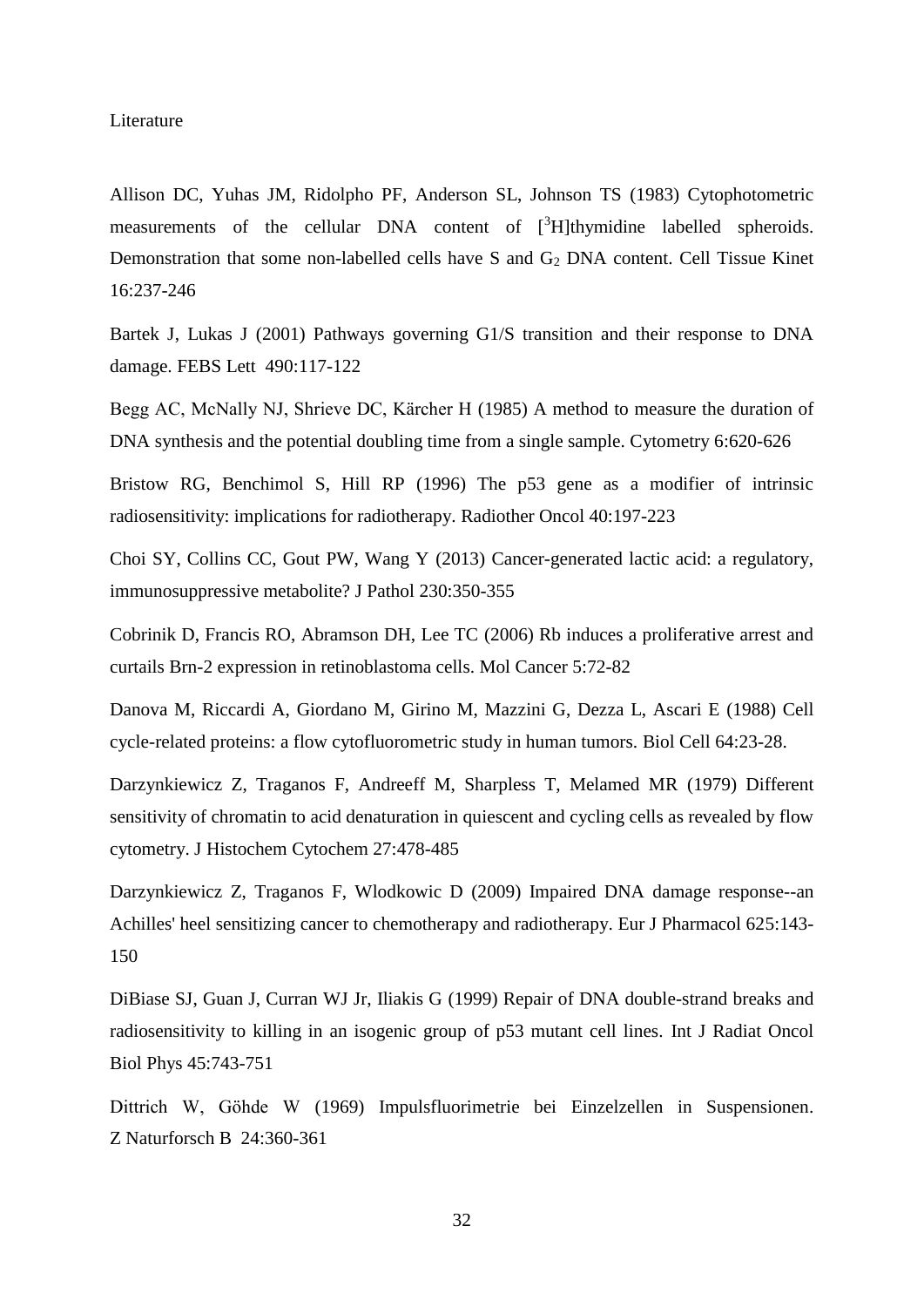#### Literature

Allison DC, Yuhas JM, Ridolpho PF, Anderson SL, Johnson TS (1983) Cytophotometric measurements of the cellular DNA content of [<sup>3</sup>H]thymidine labelled spheroids. Demonstration that some non-labelled cells have S and G<sub>2</sub> DNA content. Cell Tissue Kinet 16:237-246

Bartek J, Lukas J (2001) Pathways governing G1/S transition and their response to DNA damage. FEBS Lett 490:117-122

Begg AC, McNally NJ, Shrieve DC, Kärcher H (1985) A method to measure the duration of DNA synthesis and the potential doubling time from a single sample. Cytometry 6:620-626

Bristow RG, Benchimol S, Hill RP (1996) The p53 gene as a modifier of intrinsic radiosensitivity: implications for radiotherapy. Radiother Oncol 40:197-223

Choi SY, Collins CC, Gout PW, Wang Y (2013) Cancer-generated lactic acid: a regulatory, immunosuppressive metabolite? J Pathol 230:350-355

Cobrinik D, Francis RO, Abramson DH, Lee TC (2006) Rb induces a proliferative arrest and curtails Brn-2 expression in retinoblastoma cells. Mol Cancer 5:72-82

Danova M, Riccardi A, Giordano M, Girino M, Mazzini G, Dezza L, Ascari E (1988) Cell cycle-related proteins: a flow cytofluorometric study in human tumors. Biol Cell 64:23-28.

Darzynkiewicz Z, Traganos F, Andreeff M, Sharpless T, Melamed MR (1979) Different sensitivity of chromatin to acid denaturation in quiescent and cycling cells as revealed by flow cytometry. J Histochem Cytochem 27:478-485

Darzynkiewicz Z, Traganos F, Wlodkowic D (2009) Impaired DNA damage response--an Achilles' heel sensitizing cancer to chemotherapy and radiotherapy. Eur J Pharmacol 625:143- 150

DiBiase SJ, Guan J, Curran WJ Jr, Iliakis G (1999) Repair of DNA double-strand breaks and radiosensitivity to killing in an isogenic group of p53 mutant cell lines. Int J Radiat Oncol Biol Phys 45:743-751

Dittrich W, Göhde W (1969) Impulsfluorimetrie bei Einzelzellen in Suspensionen. Z Naturforsch B 24:360-361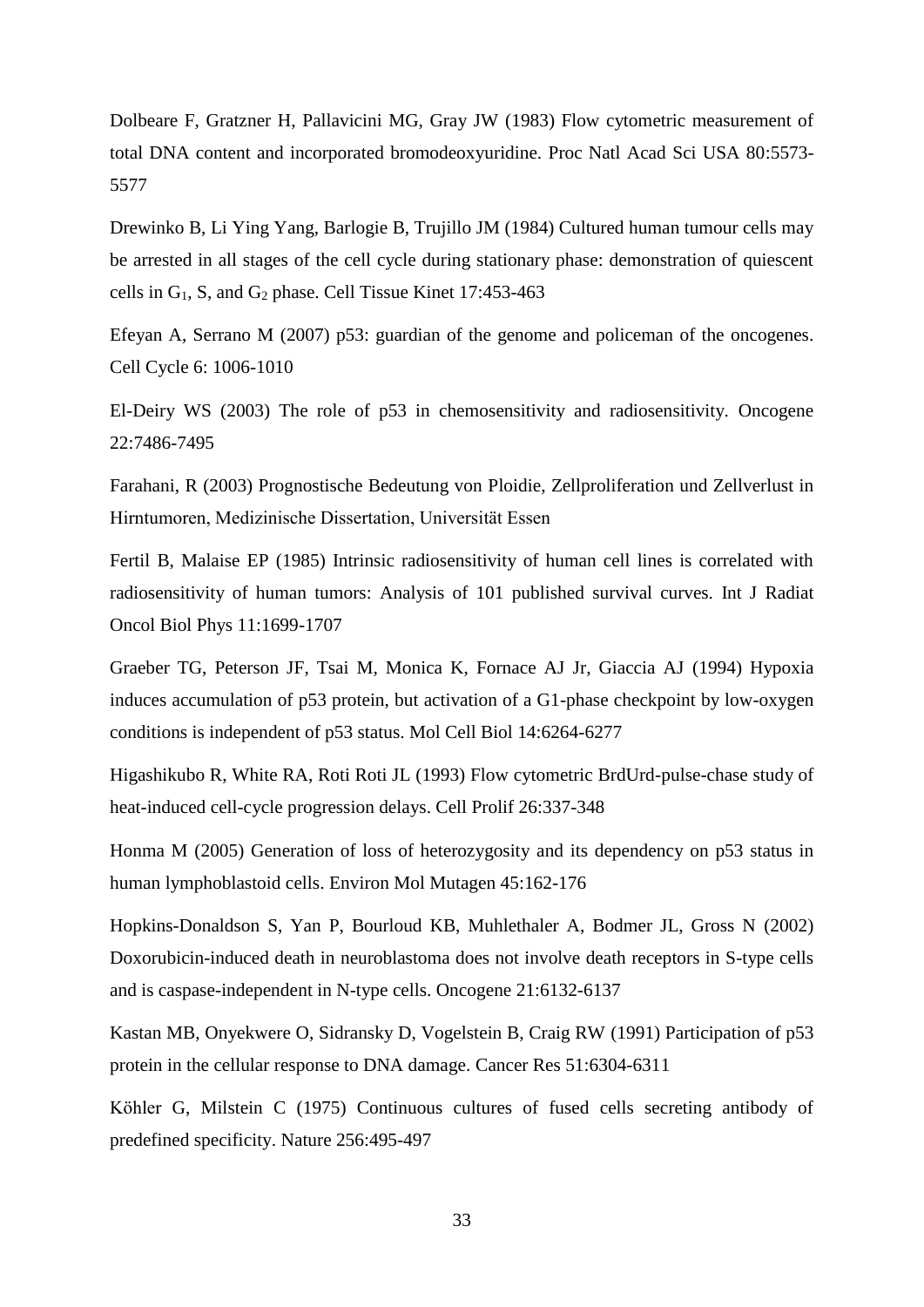Dolbeare F, Gratzner H, Pallavicini MG, Gray JW (1983) Flow cytometric measurement of total DNA content and incorporated bromodeoxyuridine. Proc Natl Acad Sci USA 80:5573- 5577

Drewinko B, Li Ying Yang, Barlogie B, Trujillo JM (1984) Cultured human tumour cells may be arrested in all stages of the cell cycle during stationary phase: demonstration of quiescent cells in G1, S, and G<sup>2</sup> phase. Cell Tissue Kinet 17:453-463

Efeyan A, Serrano M (2007) p53: guardian of the genome and policeman of the oncogenes. Cell Cycle 6: 1006-1010

El-Deiry WS (2003) The role of p53 in chemosensitivity and radiosensitivity. Oncogene 22:7486-7495

Farahani, R (2003) Prognostische Bedeutung von Ploidie, Zellproliferation und Zellverlust in Hirntumoren, Medizinische Dissertation, Universität Essen

Fertil B, Malaise EP (1985) Intrinsic radiosensitivity of human cell lines is correlated with radiosensitivity of human tumors: Analysis of 101 published survival curves. Int J Radiat Oncol Biol Phys 11:1699-1707

Graeber TG, Peterson JF, Tsai M, Monica K, Fornace AJ Jr, Giaccia AJ (1994) Hypoxia induces accumulation of p53 protein, but activation of a G1-phase checkpoint by low-oxygen conditions is independent of p53 status. Mol Cell Biol 14:6264-6277

Higashikubo R, White RA, Roti Roti JL (1993) Flow cytometric BrdUrd-pulse-chase study of heat-induced cell-cycle progression delays. Cell Prolif 26:337-348

Honma M (2005) Generation of loss of heterozygosity and its dependency on p53 status in human lymphoblastoid cells. Environ Mol Mutagen 45:162-176

Hopkins-Donaldson S, Yan P, Bourloud KB, Muhlethaler A, Bodmer JL, Gross N (2002) Doxorubicin-induced death in neuroblastoma does not involve death receptors in S-type cells and is caspase-independent in N-type cells. Oncogene 21:6132-6137

Kastan MB, Onyekwere O, Sidransky D, Vogelstein B, Craig RW (1991) Participation of p53 protein in the cellular response to DNA damage. Cancer Res 51:6304-6311

Köhler G, Milstein C (1975) Continuous cultures of fused cells secreting antibody of predefined specificity. Nature 256:495-497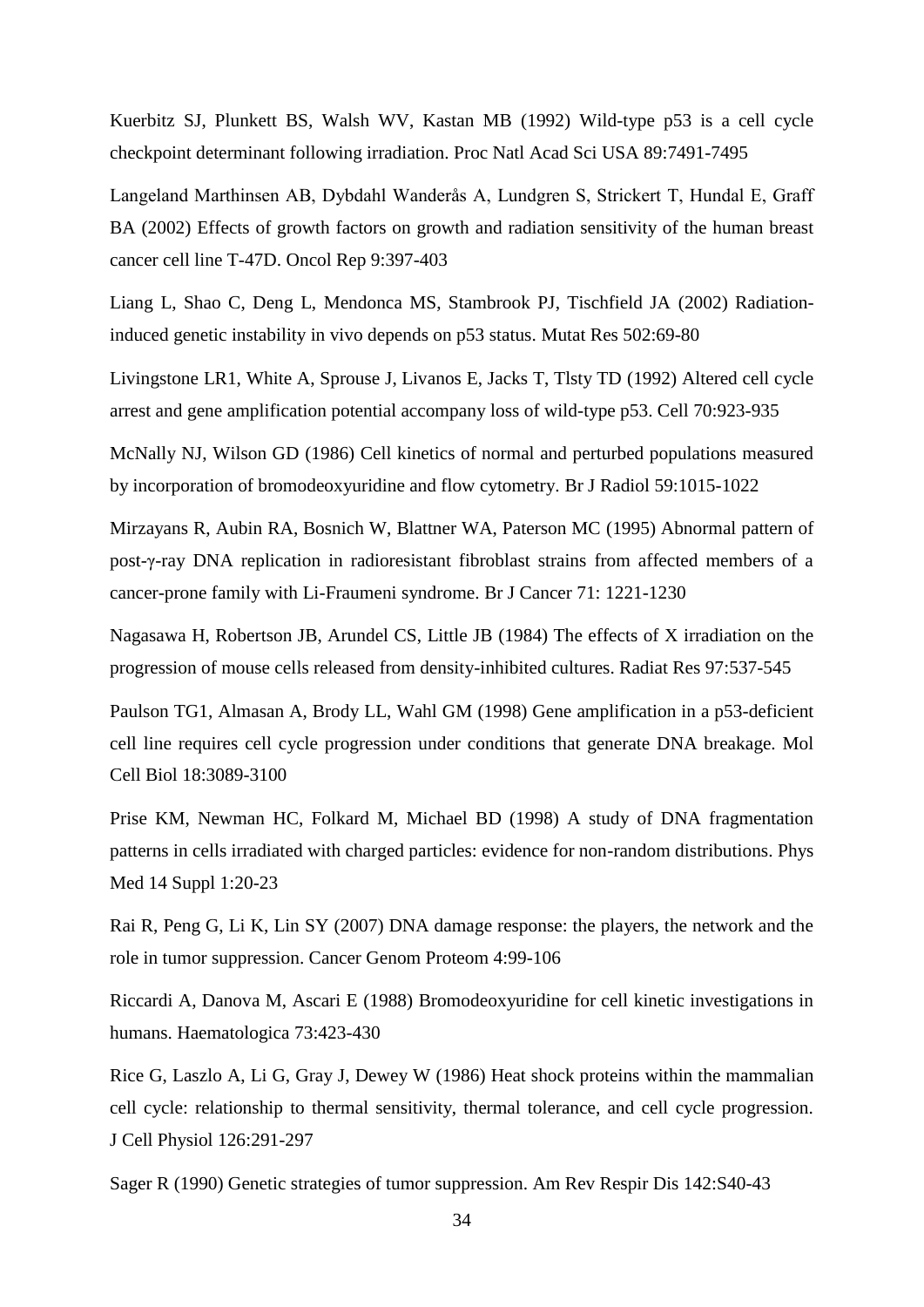Kuerbitz SJ, Plunkett BS, Walsh WV, Kastan MB (1992) Wild-type p53 is a cell cycle checkpoint determinant following irradiation. Proc Natl Acad Sci USA 89:7491-7495

Langeland Marthinsen AB, Dybdahl Wanderås A, Lundgren S, Strickert T, Hundal E, Graff BA (2002) Effects of growth factors on growth and radiation sensitivity of the human breast cancer cell line T-47D. Oncol Rep 9:397-403

Liang L, Shao C, Deng L, Mendonca MS, Stambrook PJ, Tischfield JA (2002) Radiationinduced genetic instability in vivo depends on p53 status. Mutat Res 502:69-80

Livingstone LR1, White A, Sprouse J, Livanos E, Jacks T, Tlsty TD (1992) Altered cell cycle arrest and gene amplification potential accompany loss of wild-type p53. Cell 70:923-935

McNally NJ, Wilson GD (1986) Cell kinetics of normal and perturbed populations measured by incorporation of bromodeoxyuridine and flow cytometry. Br J Radiol 59:1015-1022

Mirzayans R, Aubin RA, Bosnich W, Blattner WA, Paterson MC (1995) Abnormal pattern of post-γ-ray DNA replication in radioresistant fibroblast strains from affected members of a cancer-prone family with Li-Fraumeni syndrome. Br J Cancer 71: 1221-1230

Nagasawa H, Robertson JB, Arundel CS, Little JB (1984) The effects of X irradiation on the progression of mouse cells released from density-inhibited cultures. Radiat Res 97:537-545

Paulson TG1, Almasan A, Brody LL, Wahl GM (1998) Gene amplification in a p53-deficient cell line requires cell cycle progression under conditions that generate DNA breakage. Mol Cell Biol 18:3089-3100

Prise KM, Newman HC, Folkard M, Michael BD (1998) A study of DNA fragmentation patterns in cells irradiated with charged particles: evidence for non-random distributions. Phys Med 14 Suppl 1:20-23

Rai R, Peng G, Li K, Lin SY (2007) DNA damage response: the players, the network and the role in tumor suppression. Cancer Genom Proteom 4:99-106

Riccardi A, Danova M, Ascari E (1988) Bromodeoxyuridine for cell kinetic investigations in humans. Haematologica 73:423-430

Rice G, Laszlo A, Li G, Gray J, Dewey W (1986) Heat shock proteins within the mammalian cell cycle: relationship to thermal sensitivity, thermal tolerance, and cell cycle progression. J Cell Physiol 126:291-297

Sager R (1990) Genetic strategies of tumor suppression. Am Rev Respir Dis 142:S40-43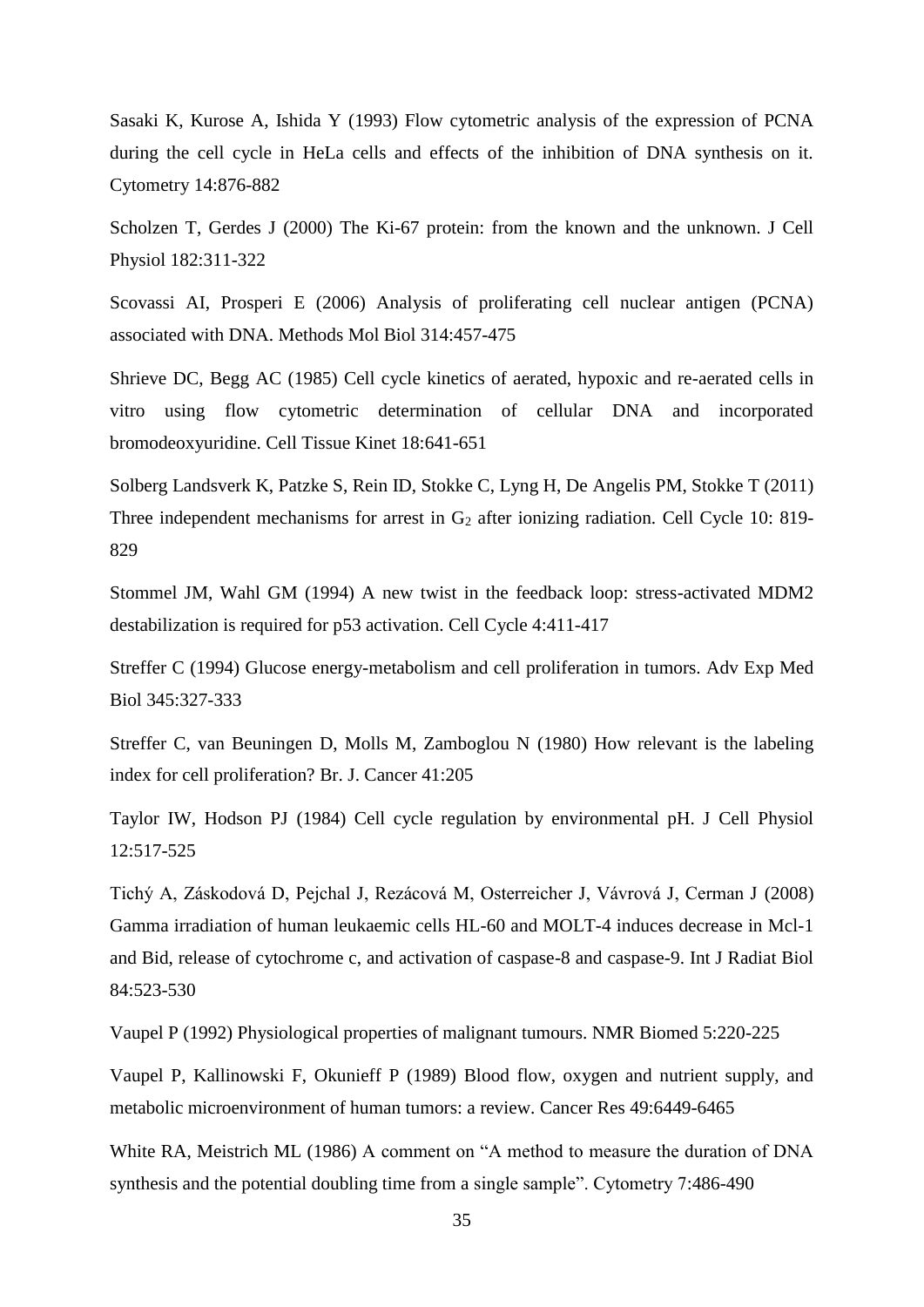Sasaki K, Kurose A, Ishida Y (1993) Flow cytometric analysis of the expression of PCNA during the cell cycle in HeLa cells and effects of the inhibition of DNA synthesis on it. Cytometry 14:876-882

Scholzen T, Gerdes J (2000) The Ki-67 protein: from the known and the unknown. J Cell Physiol 182:311-322

Scovassi AI, Prosperi E (2006) Analysis of proliferating cell nuclear antigen (PCNA) associated with DNA. Methods Mol Biol 314:457-475

Shrieve DC, Begg AC (1985) Cell cycle kinetics of aerated, hypoxic and re-aerated cells in vitro using flow cytometric determination of cellular DNA and incorporated bromodeoxyuridine. Cell Tissue Kinet 18:641-651

Solberg Landsverk K, Patzke S, Rein ID, Stokke C, Lyng H, De Angelis PM, Stokke T (2011) Three independent mechanisms for arrest in  $G_2$  after ionizing radiation. Cell Cycle 10: 819-829

Stommel JM, Wahl GM (1994) A new twist in the feedback loop: stress-activated MDM2 destabilization is required for p53 activation. Cell Cycle 4:411-417

Streffer C (1994) Glucose energy-metabolism and cell proliferation in tumors. Adv Exp Med Biol 345:327-333

Streffer C, van Beuningen D, Molls M, Zamboglou N (1980) How relevant is the labeling index for cell proliferation? Br. J. Cancer 41:205

Taylor IW, Hodson PJ (1984) Cell cycle regulation by environmental pH. J Cell Physiol 12:517-525

Tichý A, Záskodová D, Pejchal J, Rezácová M, Osterreicher J, Vávrová J, Cerman J (2008) Gamma irradiation of human leukaemic cells HL-60 and MOLT-4 induces decrease in Mcl-1 and Bid, release of cytochrome c, and activation of caspase-8 and caspase-9. Int J Radiat Biol 84:523-530

Vaupel P (1992) Physiological properties of malignant tumours. NMR Biomed 5:220-225

Vaupel P, Kallinowski F, Okunieff P (1989) Blood flow, oxygen and nutrient supply, and metabolic microenvironment of human tumors: a review. Cancer Res 49:6449-6465

White RA, Meistrich ML (1986) A comment on "A method to measure the duration of DNA synthesis and the potential doubling time from a single sample". Cytometry 7:486-490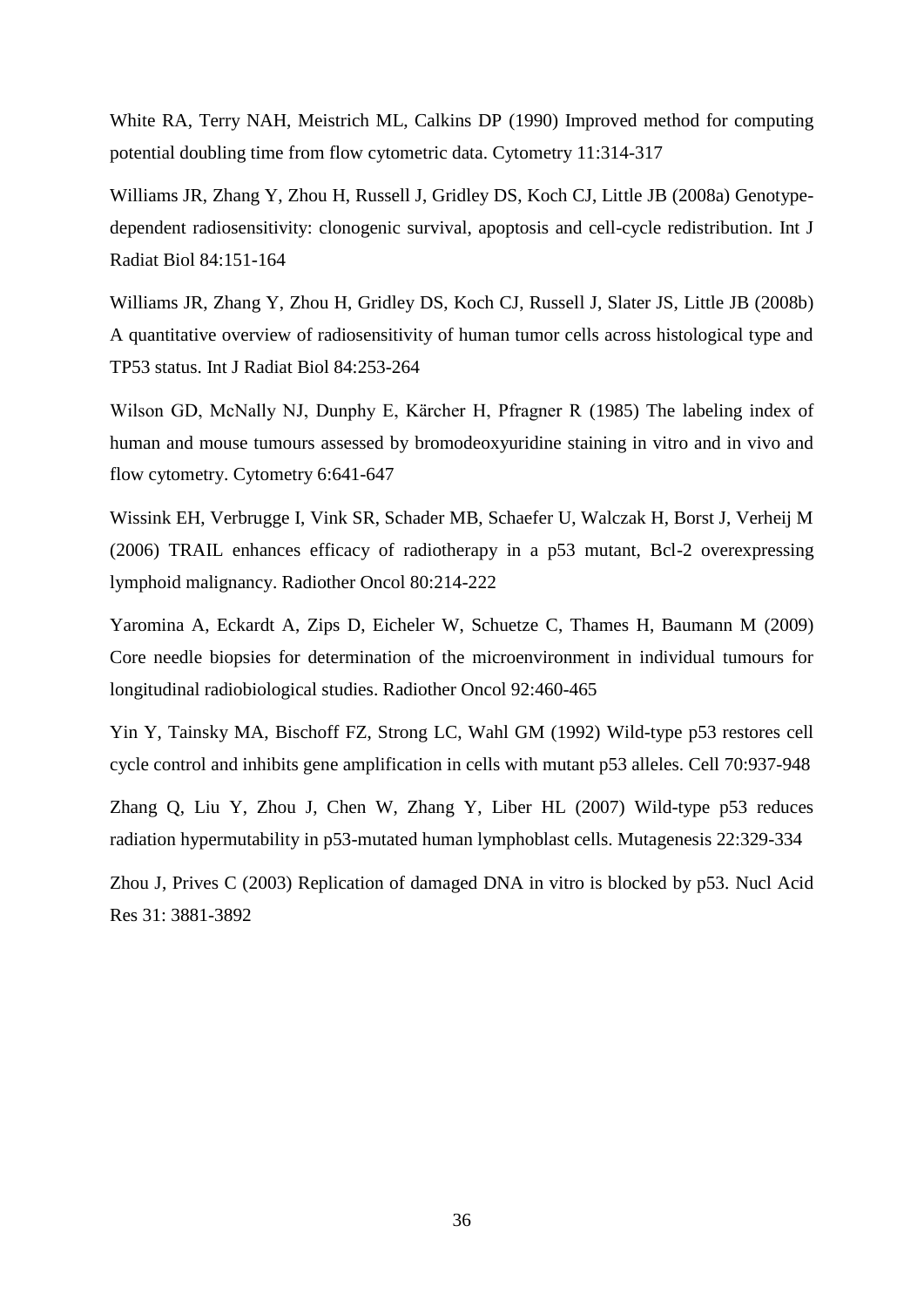White RA, Terry NAH, Meistrich ML, Calkins DP (1990) Improved method for computing potential doubling time from flow cytometric data. Cytometry 11:314-317

Williams JR, Zhang Y, Zhou H, Russell J, Gridley DS, Koch CJ, Little JB (2008a) Genotypedependent radiosensitivity: clonogenic survival, apoptosis and cell-cycle redistribution. Int J Radiat Biol 84:151-164

Williams JR, Zhang Y, Zhou H, Gridley DS, Koch CJ, Russell J, Slater JS, Little JB (2008b) A quantitative overview of radiosensitivity of human tumor cells across histological type and TP53 status. Int J Radiat Biol 84:253-264

Wilson GD, McNally NJ, Dunphy E, Kärcher H, Pfragner R (1985) The labeling index of human and mouse tumours assessed by bromodeoxyuridine staining in vitro and in vivo and flow cytometry. Cytometry 6:641-647

Wissink EH, Verbrugge I, Vink SR, Schader MB, Schaefer U, Walczak H, Borst J, Verheij M (2006) TRAIL enhances efficacy of radiotherapy in a p53 mutant, Bcl-2 overexpressing lymphoid malignancy. Radiother Oncol 80:214-222

Yaromina A, Eckardt A, Zips D, Eicheler W, Schuetze C, Thames H, Baumann M (2009) Core needle biopsies for determination of the microenvironment in individual tumours for longitudinal radiobiological studies. Radiother Oncol 92:460-465

Yin Y, Tainsky MA, Bischoff FZ, Strong LC, Wahl GM (1992) Wild-type p53 restores cell cycle control and inhibits gene amplification in cells with mutant p53 alleles. Cell 70:937-948

Zhang Q, Liu Y, Zhou J, Chen W, Zhang Y, Liber HL (2007) Wild-type p53 reduces radiation hypermutability in p53-mutated human lymphoblast cells. Mutagenesis 22:329-334

Zhou J, Prives C (2003) Replication of damaged DNA in vitro is blocked by p53. Nucl Acid Res 31: 3881-3892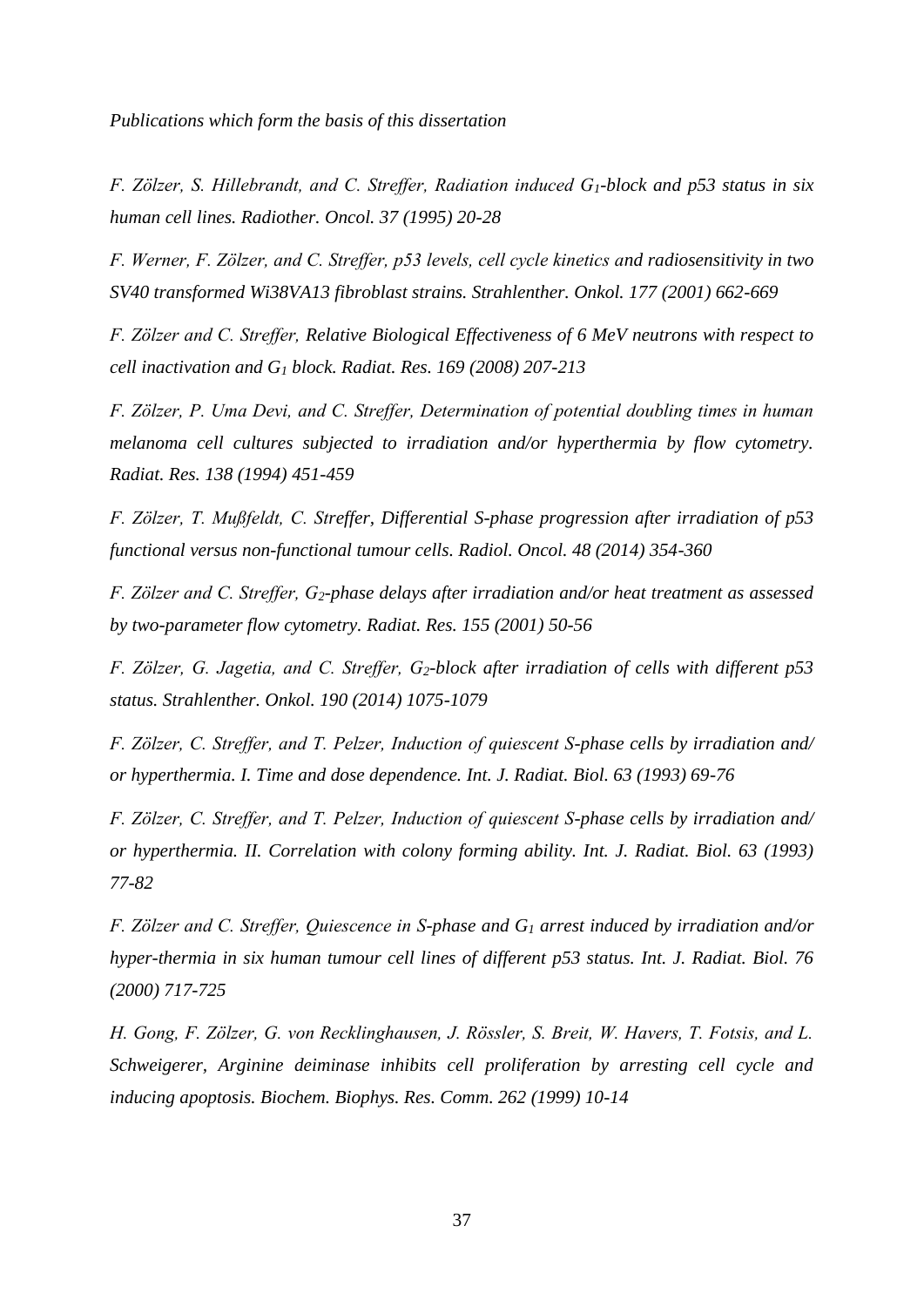*Publications which form the basis of this dissertation*

*F. Zölzer, S. Hillebrandt, and C. Streffer, Radiation induced G1-block and p53 status in six human cell lines. Radiother. Oncol. 37 (1995) 20-28*

*F. Werner, F. Zölzer, and C. Streffer, p53 levels, cell cycle kinetics and radiosensitivity in two SV40 transformed Wi38VA13 fibroblast strains. Strahlenther. Onkol. 177 (2001) 662-669*

*F. Zölzer and C. Streffer, Relative Biological Effectiveness of 6 MeV neutrons with respect to cell inactivation and G<sup>1</sup> block. Radiat. Res. 169 (2008) 207-213*

*F. Zölzer, P. Uma Devi, and C. Streffer, Determination of potential doubling times in human melanoma cell cultures subjected to irradiation and/or hyperthermia by flow cytometry. Radiat. Res. 138 (1994) 451-459*

*F. Zölzer, T. Mußfeldt, C. Streffer, Differential S-phase progression after irradiation of p53 functional versus non-functional tumour cells. Radiol. Oncol. 48 (2014) 354-360*

*F. Zölzer and C. Streffer, G2-phase delays after irradiation and/or heat treatment as assessed by two-parameter flow cytometry. Radiat. Res. 155 (2001) 50-56*

*F. Zölzer, G. Jagetia, and C. Streffer, G2-block after irradiation of cells with different p53 status. Strahlenther. Onkol. 190 (2014) 1075-1079*

*F. Zölzer, C. Streffer, and T. Pelzer, Induction of quiescent S-phase cells by irradiation and/ or hyperthermia. I. Time and dose dependence. Int. J. Radiat. Biol. 63 (1993) 69-76*

*F. Zölzer, C. Streffer, and T. Pelzer, Induction of quiescent S-phase cells by irradiation and/ or hyperthermia. II. Correlation with colony forming ability. Int. J. Radiat. Biol. 63 (1993) 77-82*

*F. Zölzer and C. Streffer, Quiescence in S-phase and G<sup>1</sup> arrest induced by irradiation and/or hyper-thermia in six human tumour cell lines of different p53 status. Int. J. Radiat. Biol. 76 (2000) 717-725*

*H. Gong, F. Zölzer, G. von Recklinghausen, J. Rössler, S. Breit, W. Havers, T. Fotsis, and L. Schweigerer, Arginine deiminase inhibits cell proliferation by arresting cell cycle and inducing apoptosis. Biochem. Biophys. Res. Comm. 262 (1999) 10-14*